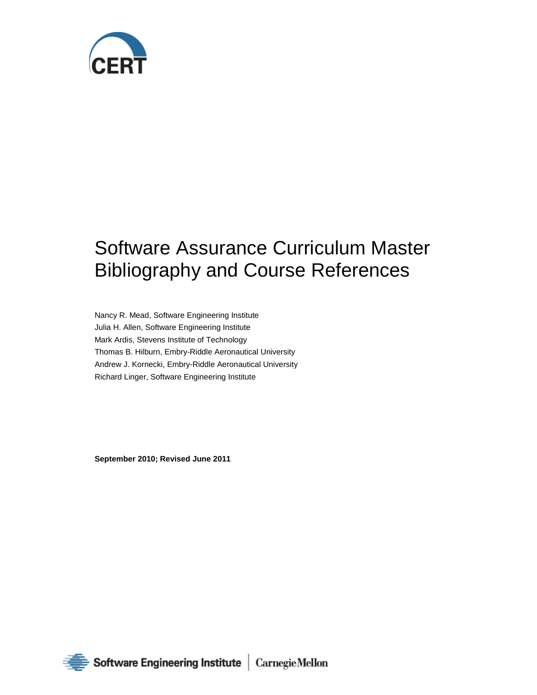

# Software Assurance Curriculum Master Bibliography and Course References

Nancy R. Mead, Software Engineering Institute Julia H. Allen, Software Engineering Institute Mark Ardis, Stevens Institute of Technology Thomas B. Hilburn, Embry-Riddle Aeronautical University Andrew J. Kornecki, Embry-Riddle Aeronautical University Richard Linger, Software Engineering Institute

**September 2010; Revised June 2011**

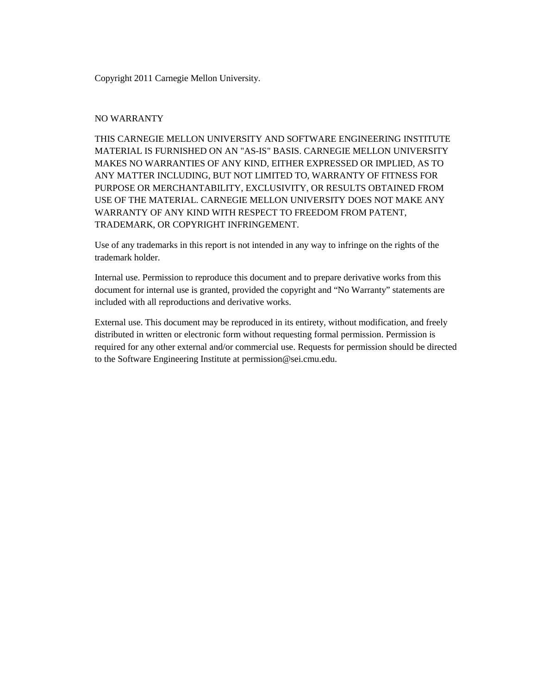Copyright 2011 Carnegie Mellon University.

## NO WARRANTY

THIS CARNEGIE MELLON UNIVERSITY AND SOFTWARE ENGINEERING INSTITUTE MATERIAL IS FURNISHED ON AN "AS-IS" BASIS. CARNEGIE MELLON UNIVERSITY MAKES NO WARRANTIES OF ANY KIND, EITHER EXPRESSED OR IMPLIED, AS TO ANY MATTER INCLUDING, BUT NOT LIMITED TO, WARRANTY OF FITNESS FOR PURPOSE OR MERCHANTABILITY, EXCLUSIVITY, OR RESULTS OBTAINED FROM USE OF THE MATERIAL. CARNEGIE MELLON UNIVERSITY DOES NOT MAKE ANY WARRANTY OF ANY KIND WITH RESPECT TO FREEDOM FROM PATENT, TRADEMARK, OR COPYRIGHT INFRINGEMENT.

Use of any trademarks in this report is not intended in any way to infringe on the rights of the trademark holder.

Internal use. Permission to reproduce this document and to prepare derivative works from this document for internal use is granted, provided the copyright and "No Warranty" statements are included with all reproductions and derivative works.

External use. This document may be reproduced in its entirety, without modification, and freely distributed in written or electronic form without requesting formal permission. Permission is required for any other external and/or commercial use. Requests for permission should be directed to the Software Engineering Institute at permission@sei.cmu.edu.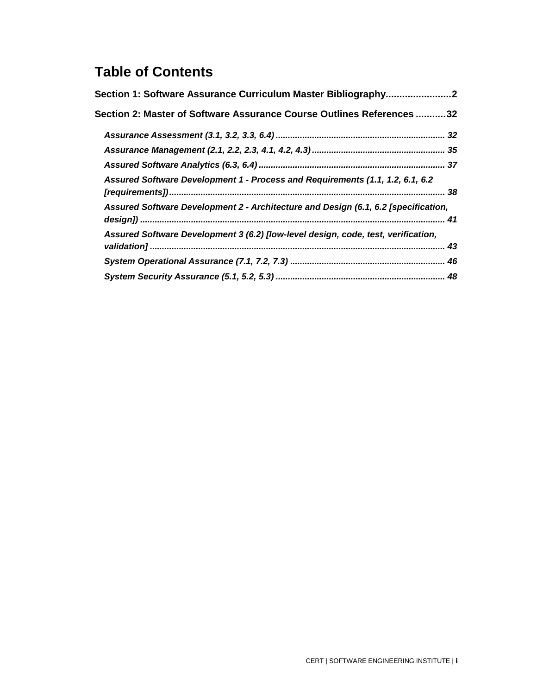## **Table of Contents**

| Section 1: Software Assurance Curriculum Master Bibliography2                      |  |
|------------------------------------------------------------------------------------|--|
| Section 2: Master of Software Assurance Course Outlines References 32              |  |
|                                                                                    |  |
|                                                                                    |  |
|                                                                                    |  |
| Assured Software Development 1 - Process and Requirements (1.1, 1.2, 6.1, 6.2      |  |
| Assured Software Development 2 - Architecture and Design (6.1, 6.2 [specification, |  |
| Assured Software Development 3 (6.2) [low-level design, code, test, verification,  |  |
|                                                                                    |  |
|                                                                                    |  |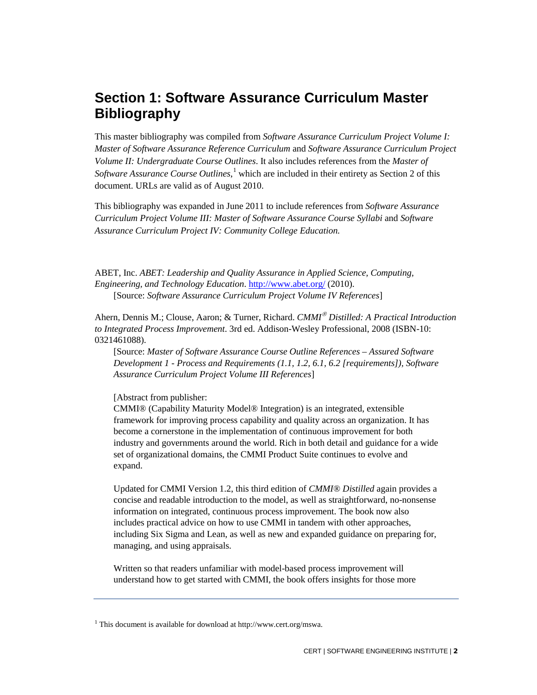## <span id="page-3-0"></span>**Section 1: Software Assurance Curriculum Master Bibliography**

This master bibliography was compiled from *Software Assurance Curriculum Project Volume I: Master of Software Assurance Reference Curriculum* and *Software Assurance Curriculum Project Volume II: Undergraduate Course Outlines*. It also includes references from the *Master of*  Software Assurance Course Outlines,<sup>[1](#page-3-1)</sup> which are included in their entirety as Section 2 of this document. URLs are valid as of August 2010.

This bibliography was expanded in June 2011 to include references from *Software Assurance Curriculum Project Volume III: Master of Software Assurance Course Syllabi* and *Software Assurance Curriculum Project IV: Community College Education.*

ABET, Inc. *ABET: Leadership and Quality Assurance in Applied Science, Computing, Engineering, and Technology Education*[. http://www.abet.org/](http://www.abet.org/) (2010).

[Source: *Software Assurance Curriculum Project Volume IV References*]

Ahern, Dennis M.; Clouse, Aaron; & Turner, Richard. *CMMI Distilled: A Practical Introduction to Integrated Process Improvement*. 3rd ed. Addison-Wesley Professional, 2008 (ISBN-10: 0321461088).

[Source: *Master of Software Assurance Course Outline References – Assured Software Development 1 - Process and Requirements (1.1, 1.2, 6.1, 6.2 [requirements]), Software Assurance Curriculum Project Volume III References*]

## [Abstract from publisher:

CMMI® (Capability Maturity Model® Integration) is an integrated, extensible framework for improving process capability and quality across an organization. It has become a cornerstone in the implementation of continuous improvement for both industry and governments around the world. Rich in both detail and guidance for a wide set of organizational domains, the CMMI Product Suite continues to evolve and expand.

Updated for CMMI Version 1.2, this third edition of *CMMI® Distilled* again provides a concise and readable introduction to the model, as well as straightforward, no-nonsense information on integrated, continuous process improvement. The book now also includes practical advice on how to use CMMI in tandem with other approaches, including Six Sigma and Lean, as well as new and expanded guidance on preparing for, managing, and using appraisals.

Written so that readers unfamiliar with model-based process improvement will understand how to get started with CMMI, the book offers insights for those more

<span id="page-3-1"></span><sup>1</sup> This document is available for download at http://www.cert.org/mswa.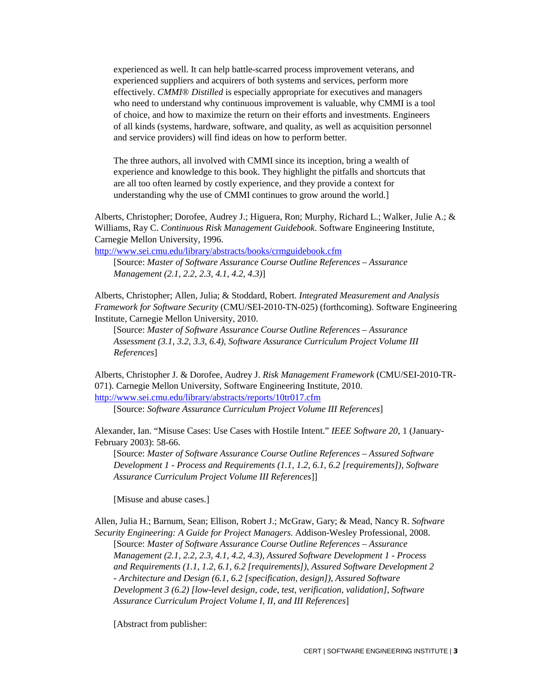experienced as well. It can help battle-scarred process improvement veterans, and experienced suppliers and acquirers of both systems and services, perform more effectively. *CMMI® Distilled* is especially appropriate for executives and managers who need to understand why continuous improvement is valuable, why CMMI is a tool of choice, and how to maximize the return on their efforts and investments. Engineers of all kinds (systems, hardware, software, and quality, as well as acquisition personnel and service providers) will find ideas on how to perform better.

The three authors, all involved with CMMI since its inception, bring a wealth of experience and knowledge to this book. They highlight the pitfalls and shortcuts that are all too often learned by costly experience, and they provide a context for understanding why the use of CMMI continues to grow around the world.]

Alberts, Christopher; Dorofee, Audrey J.; Higuera, Ron; Murphy, Richard L.; Walker, Julie A.; & Williams, Ray C. *Continuous Risk Management Guidebook*. Software Engineering Institute, Carnegie Mellon University, 1996.

<http://www.sei.cmu.edu/library/abstracts/books/crmguidebook.cfm>

[Source: *Master of Software Assurance Course Outline References – Assurance Management (2.1, 2.2, 2.3, 4.1, 4.2, 4.3)*]

Alberts, Christopher; Allen, Julia; & Stoddard, Robert. *Integrated Measurement and Analysis Framework for Software Security* (CMU/SEI-2010-TN-025) (forthcoming). Software Engineering Institute, Carnegie Mellon University, 2010.

[Source: *Master of Software Assurance Course Outline References – Assurance Assessment (3.1, 3.2, 3.3, 6.4), Software Assurance Curriculum Project Volume III References*]

Alberts, Christopher J. & Dorofee, Audrey J. *Risk Management Framework* (CMU/SEI-2010-TR-071). Carnegie Mellon University, Software Engineering Institute, 2010. <http://www.sei.cmu.edu/library/abstracts/reports/10tr017.cfm>

[Source: *Software Assurance Curriculum Project Volume III References*]

Alexander, Ian. "Misuse Cases: Use Cases with Hostile Intent." *IEEE Software 20*, 1 (January-February 2003): 58-66.

[Source: *Master of Software Assurance Course Outline References – Assured Software Development 1 - Process and Requirements (1.1, 1.2, 6.1, 6.2 [requirements]), Software Assurance Curriculum Project Volume III References*]]

[Misuse and abuse cases.]

Allen, Julia H.; Barnum, Sean; Ellison, Robert J.; McGraw, Gary; & Mead, Nancy R. *Software Security Engineering: A Guide for Project Managers*. Addison-Wesley Professional, 2008. [Source: *Master of Software Assurance Course Outline References – Assurance Management (2.1, 2.2, 2.3, 4.1, 4.2, 4.3), Assured Software Development 1 - Process and Requirements (1.1, 1.2, 6.1, 6.2 [requirements])*, *Assured Software Development 2 - Architecture and Design (6.1, 6.2 [specification, design])*, *Assured Software Development 3 (6.2) [low-level design, code, test, verification, validation], Software* 

*Assurance Curriculum Project Volume I, II, and III References*]

[Abstract from publisher: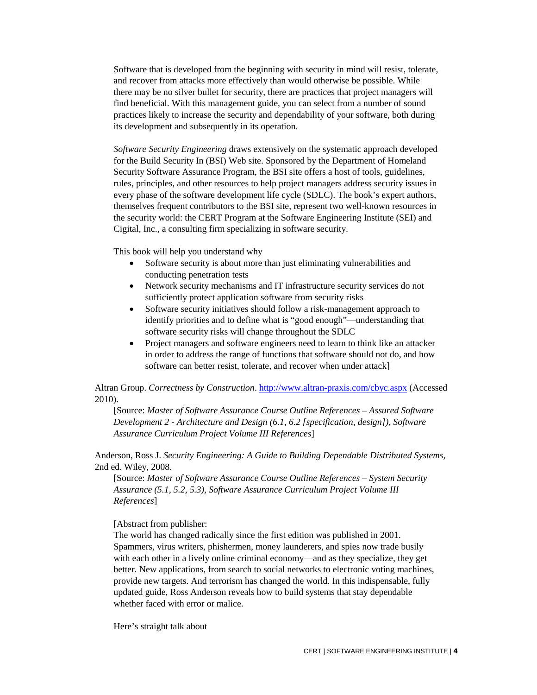Software that is developed from the beginning with security in mind will resist, tolerate, and recover from attacks more effectively than would otherwise be possible. While there may be no silver bullet for security, there are practices that project managers will find beneficial. With this management guide, you can select from a number of sound practices likely to increase the security and dependability of your software, both during its development and subsequently in its operation.

*Software Security Engineering* draws extensively on the systematic approach developed for the Build Security In (BSI) Web site. Sponsored by the Department of Homeland Security Software Assurance Program, the BSI site offers a host of tools, guidelines, rules, principles, and other resources to help project managers address security issues in every phase of the software development life cycle (SDLC). The book's expert authors, themselves frequent contributors to the BSI site, represent two well-known resources in the security world: the CERT Program at the Software Engineering Institute (SEI) and Cigital, Inc., a consulting firm specializing in software security.

This book will help you understand why

- Software security is about more than just eliminating vulnerabilities and conducting penetration tests
- Network security mechanisms and IT infrastructure security services do not sufficiently protect application software from security risks
- Software security initiatives should follow a risk-management approach to identify priorities and to define what is "good enough"—understanding that software security risks will change throughout the SDLC
- Project managers and software engineers need to learn to think like an attacker in order to address the range of functions that software should not do, and how software can better resist, tolerate, and recover when under attack]

Altran Group. *Correctness by Construction*. <http://www.altran-praxis.com/cbyc.aspx> (Accessed 2010).

[Source: *Master of Software Assurance Course Outline References – Assured Software Development 2 - Architecture and Design (6.1, 6.2 [specification, design]), Software Assurance Curriculum Project Volume III References*]

Anderson, Ross J. *Security Engineering: A Guide to Building Dependable Distributed Systems*, 2nd ed. Wiley, 2008.

[Source: *Master of Software Assurance Course Outline References – System Security Assurance (5.1, 5.2, 5.3), Software Assurance Curriculum Project Volume III References*]

[Abstract from publisher:

The world has changed radically since the first edition was published in 2001. Spammers, virus writers, phishermen, money launderers, and spies now trade busily with each other in a lively online criminal economy—and as they specialize, they get better. New applications, from search to social networks to electronic voting machines, provide new targets. And terrorism has changed the world. In this indispensable, fully updated guide, Ross Anderson reveals how to build systems that stay dependable whether faced with error or malice.

Here's straight talk about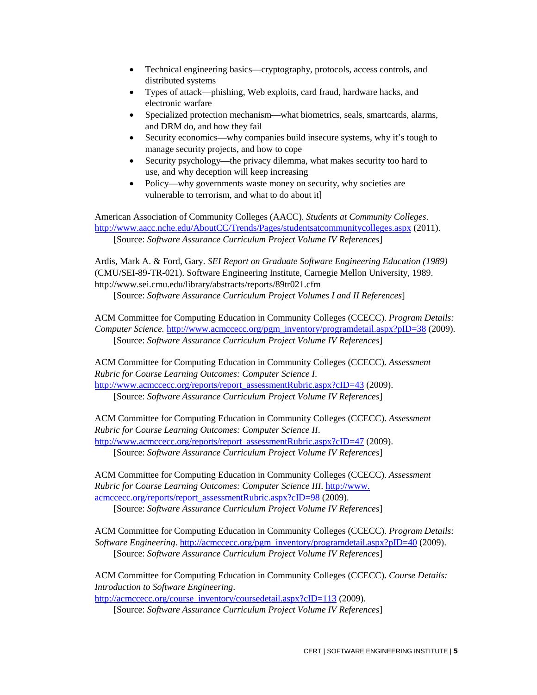- Technical engineering basics—cryptography, protocols, access controls, and distributed systems
- Types of attack—phishing, Web exploits, card fraud, hardware hacks, and electronic warfare
- Specialized protection mechanism—what biometrics, seals, smartcards, alarms, and DRM do, and how they fail
- Security economics—why companies build insecure systems, why it's tough to manage security projects, and how to cope
- Security psychology—the privacy dilemma, what makes security too hard to use, and why deception will keep increasing
- Policy—why governments waste money on security, why societies are vulnerable to terrorism, and what to do about it]

American Association of Community Colleges (AACC). *Students at Community Colleges*. <http://www.aacc.nche.edu/AboutCC/Trends/Pages/studentsatcommunitycolleges.aspx> (2011). [Source: *Software Assurance Curriculum Project Volume IV References*]

Ardis, Mark A. & Ford, Gary. *SEI Report on Graduate Software Engineering Education (1989)* (CMU/SEI-89-TR-021). Software Engineering Institute, Carnegie Mellon University, 1989. http://www.sei.cmu.edu/library/abstracts/reports/89tr021.cfm

[Source: *Software Assurance Curriculum Project Volumes I and II References*]

ACM Committee for Computing Education in Community Colleges (CCECC). *Program Details: Computer Science.* [http://www.acmccecc.org/pgm\\_inventory/programdetail.aspx?pID=38](http://www.acmccecc.org/pgm_inventory/programdetail.aspx?pID=38) (2009). [Source: *Software Assurance Curriculum Project Volume IV References*]

ACM Committee for Computing Education in Community Colleges (CCECC). *Assessment Rubric for Course Learning Outcomes: Computer Science I*.

[http://www.acmccecc.org/reports/report\\_assessmentRubric.aspx?cID=43](http://www.acmccecc.org/reports/report_assessmentRubric.aspx?cID=43) (2009).

[Source: *Software Assurance Curriculum Project Volume IV References*]

ACM Committee for Computing Education in Community Colleges (CCECC). *Assessment Rubric for Course Learning Outcomes: Computer Science II*. [http://www.acmccecc.org/reports/report\\_assessmentRubric.aspx?cID=47](http://www.acmccecc.org/reports/report_assessmentRubric.aspx?cID=47) (2009).

[Source: *Software Assurance Curriculum Project Volume IV References*]

ACM Committee for Computing Education in Community Colleges (CCECC). *Assessment Rubric for Course Learning Outcomes: Computer Science III*. [http://www.](http://www.capspace.org/reports/report_assessmentRubric.aspx?cID=98) [acmccecc.org/reports/report\\_assessmentRubric.aspx?cID=98](http://www.capspace.org/reports/report_assessmentRubric.aspx?cID=98) (2009).

[Source: *Software Assurance Curriculum Project Volume IV References*]

ACM Committee for Computing Education in Community Colleges (CCECC). *Program Details: Software Engineering*. [http://acmccecc.org/pgm\\_inventory/programdetail.aspx?pID=40](http://acmccecc.org/pgm_inventory/programdetail.aspx?pID=40) (2009). [Source: *Software Assurance Curriculum Project Volume IV References*]

ACM Committee for Computing Education in Community Colleges (CCECC). *Course Details: Introduction to Software Engineering*.

[http://acmccecc.org/course\\_inventory/coursedetail.aspx?cID=113](http://acmccecc.org/course_inventory/coursedetail.aspx?cID=113) (2009).

[Source: *Software Assurance Curriculum Project Volume IV References*]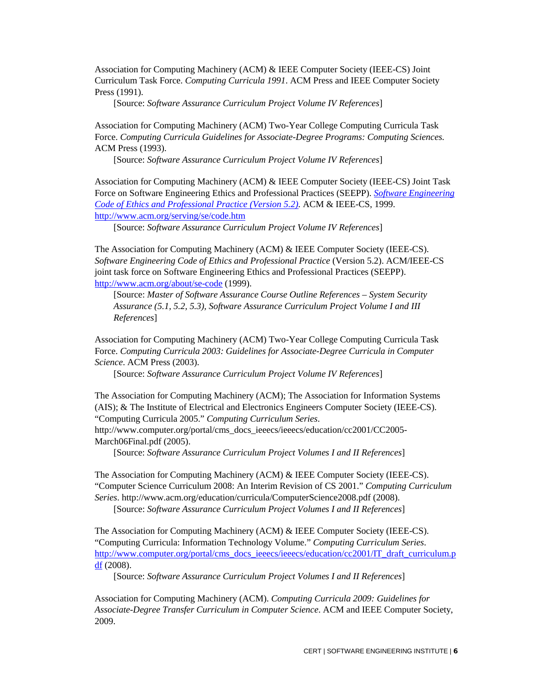Association for Computing Machinery (ACM) & IEEE Computer Society (IEEE-CS) Joint Curriculum Task Force. *Computing Curricula 1991*. ACM Press and IEEE Computer Society Press (1991).

[Source: *Software Assurance Curriculum Project Volume IV References*]

Association for Computing Machinery (ACM) Two-Year College Computing Curricula Task Force. *Computing Curricula Guidelines for Associate-Degree Programs: Computing Sciences.* ACM Press (1993).

[Source: *Software Assurance Curriculum Project Volume IV References*]

Association for Computing Machinery (ACM) & IEEE Computer Society (IEEE-CS) Joint Task Force on Software Engineering Ethics and Professional Practices (SEEPP). *[Software Engineering](http://www.acm.org/about/se-code)  [Code of Ethics and Professional Practice](http://www.acm.org/about/se-code) (Version 5.2).* ACM & IEEE-CS, 1999. <http://www.acm.org/serving/se/code.htm>

[Source: *Software Assurance Curriculum Project Volume IV References*]

The Association for Computing Machinery (ACM) & IEEE Computer Society (IEEE-CS). *Software Engineering Code of Ethics and Professional Practice* (Version 5.2). ACM/IEEE-CS joint task force on Software Engineering Ethics and Professional Practices (SEEPP). <http://www.acm.org/about/se-code> (1999).

[Source: *Master of Software Assurance Course Outline References – System Security Assurance (5.1, 5.2, 5.3), Software Assurance Curriculum Project Volume I and III References*]

Association for Computing Machinery (ACM) Two-Year College Computing Curricula Task Force. *Computing Curricula 2003: Guidelines for Associate-Degree Curricula in Computer Science*. ACM Press (2003).

[Source: *Software Assurance Curriculum Project Volume IV References*]

The Association for Computing Machinery (ACM); The Association for Information Systems (AIS); & The Institute of Electrical and Electronics Engineers Computer Society (IEEE-CS). "Computing Curricula 2005." *Computing Curriculum Series*. http://www.computer.org/portal/cms\_docs\_ieeecs/ieeecs/education/cc2001/CC2005-

March06Final.pdf (2005).

[Source: *Software Assurance Curriculum Project Volumes I and II References*]

The Association for Computing Machinery (ACM) & IEEE Computer Society (IEEE-CS). "Computer Science Curriculum 2008: An Interim Revision of CS 2001." *Computing Curriculum Series*. http://www.acm.org/education/curricula/ComputerScience2008.pdf (2008).

[Source: *Software Assurance Curriculum Project Volumes I and II References*]

The Association for Computing Machinery (ACM) & IEEE Computer Society (IEEE-CS). "Computing Curricula: Information Technology Volume." *Computing Curriculum Series*. [http://www.computer.org/portal/cms\\_docs\\_ieeecs/ieeecs/education/cc2001/IT\\_draft\\_curriculum.p](http://www.computer.org/portal/cms_docs_ieeecs/ieeecs/education/cc2001/IT_draft_curriculum.pdf)  $df(2008)$  $df(2008)$ .

[Source: *Software Assurance Curriculum Project Volumes I and II References*]

Association for Computing Machinery (ACM). *Computing Curricula 2009: Guidelines for Associate-Degree Transfer Curriculum in Computer Science*. ACM and IEEE Computer Society, 2009.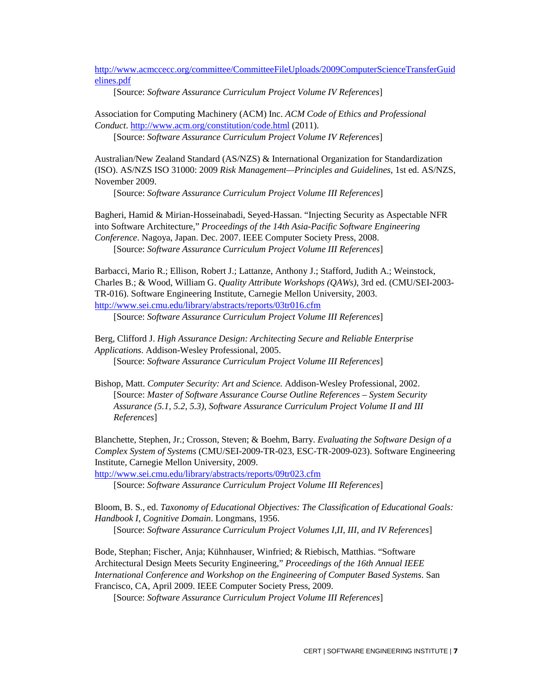[http://www.acmccecc.org/committee/CommitteeFileUploads/2009ComputerScienceTransferGuid](http://www.acmccecc.org/committee/CommitteeFileUploads/2009ComputerScienceTransferGuidelines.pdf) [elines.pdf](http://www.acmccecc.org/committee/CommitteeFileUploads/2009ComputerScienceTransferGuidelines.pdf)

[Source: *Software Assurance Curriculum Project Volume IV References*]

Association for Computing Machinery (ACM) Inc. *ACM Code of Ethics and Professional Conduct*.<http://www.acm.org/constitution/code.html> (2011).

[Source: *Software Assurance Curriculum Project Volume IV References*]

Australian/New Zealand Standard (AS/NZS) & International Organization for Standardization (ISO). AS/NZS ISO 31000: 2009 *Risk Management—Principles and Guidelines*, 1st ed. AS/NZS, November 2009.

[Source: *Software Assurance Curriculum Project Volume III References*]

Bagheri, Hamid & Mirian-Hosseinabadi, Seyed-Hassan. "Injecting Security as Aspectable NFR into Software Architecture," *Proceedings of the 14th Asia-Pacific Software Engineering Conference*. Nagoya, Japan. Dec. 2007. IEEE Computer Society Press, 2008. [Source: *Software Assurance Curriculum Project Volume III References*]

Barbacci, Mario R.; Ellison, Robert J.; Lattanze, Anthony J.; Stafford, Judith A.; Weinstock, Charles B.; & Wood, William G. *Quality Attribute Workshops (QAWs)*, 3rd ed. (CMU/SEI-2003- TR-016). Software Engineering Institute, Carnegie Mellon University, 2003. <http://www.sei.cmu.edu/library/abstracts/reports/03tr016.cfm>

[Source: *Software Assurance Curriculum Project Volume III References*]

Berg, Clifford J. *High Assurance Design: Architecting Secure and Reliable Enterprise Applications*. Addison-Wesley Professional, 2005. [Source: *Software Assurance Curriculum Project Volume III References*]

Bishop, Matt. *Computer Security: Art and Science.* Addison-Wesley Professional, 2002. [Source: *Master of Software Assurance Course Outline References – System Security Assurance (5.1, 5.2, 5.3), Software Assurance Curriculum Project Volume II and III References*]

Blanchette, Stephen, Jr.; Crosson, Steven; & Boehm, Barry. *Evaluating the Software Design of a Complex System of Systems* (CMU/SEI-2009-TR-023, ESC-TR-2009-023). Software Engineering Institute, Carnegie Mellon University, 2009.

<http://www.sei.cmu.edu/library/abstracts/reports/09tr023.cfm>

[Source: *Software Assurance Curriculum Project Volume III References*]

Bloom, B. S., ed. *Taxonomy of Educational Objectives: The Classification of Educational Goals: Handbook I, Cognitive Domain*. Longmans, 1956.

[Source: *Software Assurance Curriculum Project Volumes I,II, III, and IV References*]

Bode, Stephan; Fischer, Anja; Kühnhauser, Winfried; & Riebisch, Matthias. "Software Architectural Design Meets Security Engineering," *Proceedings of the 16th Annual IEEE International Conference and Workshop on the Engineering of Computer Based Systems*. San Francisco, CA, April 2009. IEEE Computer Society Press, 2009.

[Source: *Software Assurance Curriculum Project Volume III References*]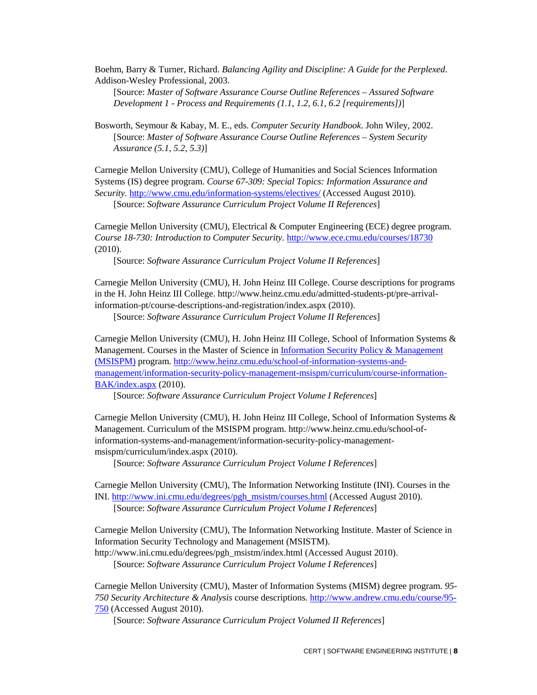Boehm, Barry & Turner, Richard. *Balancing Agility and Discipline: A Guide for the Perplexed*. Addison-Wesley Professional, 2003.

[Source: *Master of Software Assurance Course Outline References – Assured Software Development 1 - Process and Requirements (1.1, 1.2, 6.1, 6.2 [requirements])*]

Bosworth, Seymour & Kabay, M. E., eds. *Computer Security Handbook*. John Wiley, 2002. [Source: *Master of Software Assurance Course Outline References – System Security Assurance (5.1, 5.2, 5.3)*]

Carnegie Mellon University (CMU), College of Humanities and Social Sciences Information Systems (IS) degree program. *Course 67-309: Special Topics: Information Assurance and Security.* <http://www.cmu.edu/information-systems/electives/> (Accessed August 2010). [Source: *Software Assurance Curriculum Project Volume II References*]

Carnegie Mellon University (CMU), Electrical & Computer Engineering (ECE) degree program. *Course 18-730: Introduction to Computer Security.* <http://www.ece.cmu.edu/courses/18730> (2010).

[Source: *Software Assurance Curriculum Project Volume II References*]

Carnegie Mellon University (CMU), H. John Heinz III College. Course descriptions for programs in the H. John Heinz III College. http://www.heinz.cmu.edu/admitted-students-pt/pre-arrivalinformation-pt/course-descriptions-and-registration/index.aspx (2010).

[Source: *Software Assurance Curriculum Project Volume II References*]

Carnegie Mellon University (CMU), H. John Heinz III College, School of Information Systems & Management. Courses in the Master of Science in [Information Security Policy & Management](http://www.heinz.cmu.edu/school-of-information-systems-and-management/information-security-policy-management-msispm/index.aspx)  [\(MSISPM\)](http://www.heinz.cmu.edu/school-of-information-systems-and-management/information-security-policy-management-msispm/index.aspx) program. [http://www.heinz.cmu.edu/school-of-information-systems-and](http://www.heinz.cmu.edu/school-of-information-systems-and-management/information-security-policy-management-msispm/curriculum/course-information-BAK/index.aspx)[management/information-security-policy-management-msispm/curriculum/course-information-](http://www.heinz.cmu.edu/school-of-information-systems-and-management/information-security-policy-management-msispm/curriculum/course-information-BAK/index.aspx)[BAK/index.aspx](http://www.heinz.cmu.edu/school-of-information-systems-and-management/information-security-policy-management-msispm/curriculum/course-information-BAK/index.aspx) (2010).

[Source: *Software Assurance Curriculum Project Volume I References*]

Carnegie Mellon University (CMU), H. John Heinz III College, School of Information Systems & Management. Curriculum of the MSISPM program. http://www.heinz.cmu.edu/school-ofinformation-systems-and-management/information-security-policy-managementmsispm/curriculum/index.aspx (2010).

[Source: *Software Assurance Curriculum Project Volume I References*]

Carnegie Mellon University (CMU), The Information Networking Institute (INI). Courses in the INI. [http://www.ini.cmu.edu/degrees/pgh\\_msistm/courses.html](http://www.ini.cmu.edu/degrees/pgh_msistm/courses.html) (Accessed August 2010). [Source: *Software Assurance Curriculum Project Volume I References*]

Carnegie Mellon University (CMU), The Information Networking Institute. Master of Science in Information Security Technology and Management (MSISTM).

http://www.ini.cmu.edu/degrees/pgh\_msistm/index.html (Accessed August 2010). [Source: *Software Assurance Curriculum Project Volume I References*]

Carnegie Mellon University (CMU), Master of Information Systems (MISM) degree program. *95- 750 Security Architecture & Analysis* course descriptions. [http://www.andrew.cmu.edu/course/95-](http://www.andrew.cmu.edu/course/95-750) [750](http://www.andrew.cmu.edu/course/95-750) (Accessed August 2010).

[Source: *Software Assurance Curriculum Project Volumed II References*]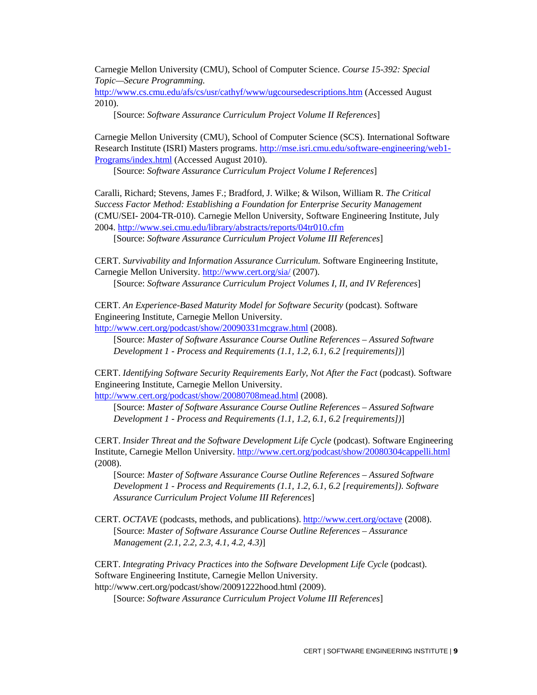Carnegie Mellon University (CMU), School of Computer Science. *Course 15-392: Special Topic—Secure Programming.*

<http://www.cs.cmu.edu/afs/cs/usr/cathyf/www/ugcoursedescriptions.htm> (Accessed August 2010).

[Source: *Software Assurance Curriculum Project Volume II References*]

Carnegie Mellon University (CMU), School of Computer Science (SCS). International Software Research Institute (ISRI) Masters programs. [http://mse.isri.cmu.edu/software-engineering/web1-](http://mse.isri.cmu.edu/software-engineering/web1-Programs/index.html) [Programs/index.html](http://mse.isri.cmu.edu/software-engineering/web1-Programs/index.html) (Accessed August 2010).

[Source: *Software Assurance Curriculum Project Volume I References*]

Caralli, Richard; Stevens, James F.; Bradford, J. Wilke; & Wilson, William R. *The Critical Success Factor Method: Establishing a Foundation for Enterprise Security Management*  (CMU/SEI- 2004-TR-010). Carnegie Mellon University, Software Engineering Institute, July 2004. <http://www.sei.cmu.edu/library/abstracts/reports/04tr010.cfm>

[Source: *Software Assurance Curriculum Project Volume III References*]

CERT. *Survivability and Information Assurance Curriculum.* Software Engineering Institute, Carnegie Mellon University.<http://www.cert.org/sia/> (2007).

[Source: *Software Assurance Curriculum Project Volumes I, II, and IV References*]

CERT. *An Experience-Based Maturity Model for Software Security* (podcast). Software Engineering Institute, Carnegie Mellon University.

<http://www.cert.org/podcast/show/20090331mcgraw.html> (2008).

[Source: *Master of Software Assurance Course Outline References – Assured Software Development 1 - Process and Requirements (1.1, 1.2, 6.1, 6.2 [requirements])*]

CERT. *Identifying Software Security Requirements Early, Not After the Fact* (podcast). Software Engineering Institute, Carnegie Mellon University.

<http://www.cert.org/podcast/show/20080708mead.html> (2008).

[Source: *Master of Software Assurance Course Outline References – Assured Software Development 1 - Process and Requirements (1.1, 1.2, 6.1, 6.2 [requirements])*]

CERT. *Insider Threat and the Software Development Life Cycle* (podcast). Software Engineering Institute, Carnegie Mellon University.<http://www.cert.org/podcast/show/20080304cappelli.html> (2008).

[Source: *Master of Software Assurance Course Outline References – Assured Software Development 1 - Process and Requirements (1.1, 1.2, 6.1, 6.2 [requirements]). Software Assurance Curriculum Project Volume III References*]

CERT. *OCTAVE* (podcasts, methods, and publications).<http://www.cert.org/octave> (2008). [Source: *Master of Software Assurance Course Outline References – Assurance Management (2.1, 2.2, 2.3, 4.1, 4.2, 4.3)*]

CERT. *Integrating Privacy Practices into the Software Development Life Cycle* (podcast). Software Engineering Institute, Carnegie Mellon University.

http://www.cert.org/podcast/show/20091222hood.html (2009).

[Source: *Software Assurance Curriculum Project Volume III References*]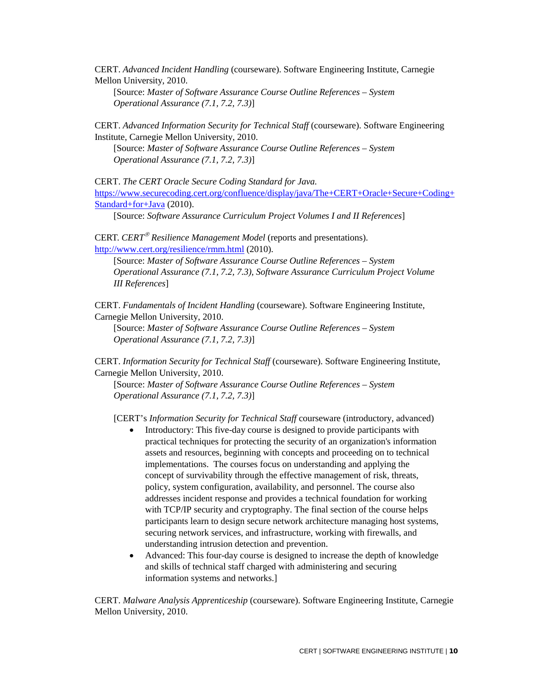CERT. *Advanced Incident Handling* (courseware). Software Engineering Institute, Carnegie Mellon University, 2010.

[Source: *Master of Software Assurance Course Outline References – System Operational Assurance (7.1, 7.2, 7.3)*]

CERT. *Advanced Information Security for Technical Staff* (courseware). Software Engineering Institute, Carnegie Mellon University, 2010.

[Source: *Master of Software Assurance Course Outline References – System Operational Assurance (7.1, 7.2, 7.3)*]

CERT. *The CERT Oracle Secure Coding Standard for Java.* [https://www.securecoding.cert.org/confluence/display/java/The+CERT+Oracle+Secure+Coding+](https://www.securecoding.cert.org/confluence/display/java/The+CERT+Oracle+Secure+Coding+Standard+for+Java) [Standard+for+Java](https://www.securecoding.cert.org/confluence/display/java/The+CERT+Oracle+Secure+Coding+Standard+for+Java) (2010).

[Source: *Software Assurance Curriculum Project Volumes I and II References*]

CERT. *CERT Resilience Management Model* (reports and presentations). <http://www.cert.org/resilience/rmm.html> (2010).

[Source: *Master of Software Assurance Course Outline References – System Operational Assurance (7.1, 7.2, 7.3), Software Assurance Curriculum Project Volume III References*]

CERT. *Fundamentals of Incident Handling* (courseware). Software Engineering Institute, Carnegie Mellon University, 2010.

[Source: *Master of Software Assurance Course Outline References – System Operational Assurance (7.1, 7.2, 7.3)*]

CERT. *Information Security for Technical Staff* (courseware). Software Engineering Institute, Carnegie Mellon University, 2010.

[Source: *Master of Software Assurance Course Outline References – System Operational Assurance (7.1, 7.2, 7.3)*]

[CERT's *Information Security for Technical Staff* courseware (introductory, advanced)

- Introductory: This five-day course is designed to provide participants with practical techniques for protecting the security of an organization's information assets and resources, beginning with concepts and proceeding on to technical implementations. The courses focus on understanding and applying the concept of survivability through the effective management of risk, threats, policy, system configuration, availability, and personnel. The course also addresses incident response and provides a technical foundation for working with TCP/IP security and cryptography. The final section of the course helps participants learn to design secure network architecture managing host systems, securing network services, and infrastructure, working with firewalls, and understanding intrusion detection and prevention.
- Advanced: This four-day course is designed to increase the depth of knowledge and skills of technical staff charged with administering and securing information systems and networks.]

CERT. *Malware Analysis Apprenticeship* (courseware). Software Engineering Institute, Carnegie Mellon University, 2010.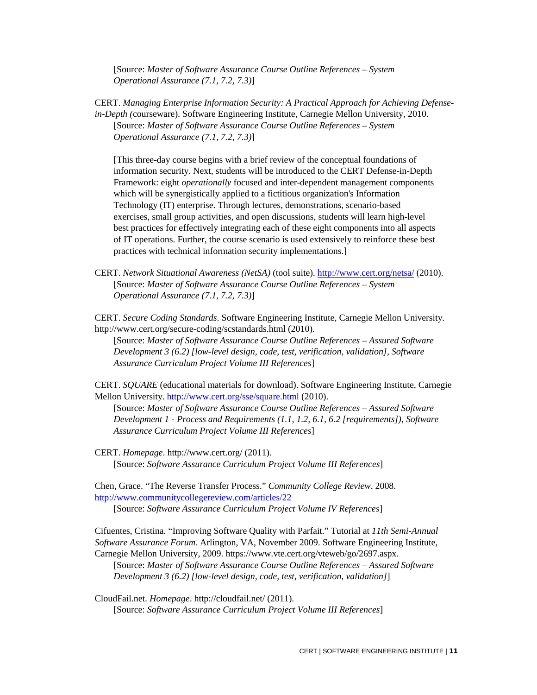[Source: *Master of Software Assurance Course Outline References – System Operational Assurance (7.1, 7.2, 7.3)*]

CERT. *Managing Enterprise Information Security: A Practical Approach for Achieving Defensein-Depth (*courseware). Software Engineering Institute, Carnegie Mellon University, 2010. [Source: *Master of Software Assurance Course Outline References – System Operational Assurance (7.1, 7.2, 7.3)*]

[This three-day course begins with a brief review of the conceptual foundations of information security. Next, students will be introduced to the CERT Defense-in-Depth Framework: eight *operationally* focused and inter-dependent management components which will be synergistically applied to a fictitious organization's Information Technology (IT) enterprise. Through lectures, demonstrations, scenario-based exercises, small group activities, and open discussions, students will learn high-level best practices for effectively integrating each of these eight components into all aspects of IT operations. Further, the course scenario is used extensively to reinforce these best practices with technical information security implementations.]

CERT. *Network Situational Awareness (NetSA)* (tool suite).<http://www.cert.org/netsa/> (2010). [Source: *Master of Software Assurance Course Outline References – System Operational Assurance (7.1, 7.2, 7.3)*]

CERT. *Secure Coding Standards*. Software Engineering Institute, Carnegie Mellon University. http://www.cert.org/secure-coding/scstandards.html (2010).

[Source: *Master of Software Assurance Course Outline References – Assured Software Development 3 (6.2) [low-level design, code, test, verification, validation], Software Assurance Curriculum Project Volume III References*]

CERT. *SQUARE* (educational materials for download). Software Engineering Institute, Carnegie Mellon University.<http://www.cert.org/sse/square.html> (2010).

[Source: *Master of Software Assurance Course Outline References – Assured Software Development 1 - Process and Requirements (1.1, 1.2, 6.1, 6.2 [requirements]), Software Assurance Curriculum Project Volume III References*]

CERT. *Homepage*. http://www.cert.org/ (2011). [Source: *Software Assurance Curriculum Project Volume III References*]

Chen, Grace. "The Reverse Transfer Process." *Community College Review*. 2008. <http://www.communitycollegereview.com/articles/22>

[Source: *Software Assurance Curriculum Project Volume IV References*]

Cifuentes, Cristina. "Improving Software Quality with Parfait." Tutorial at *11th Semi-Annual Software Assurance Forum*. Arlington, VA, November 2009. Software Engineering Institute, Carnegie Mellon University, 2009. https://www.vte.cert.org/vteweb/go/2697.aspx.

[Source: *Master of Software Assurance Course Outline References – Assured Software Development 3 (6.2) [low-level design, code, test, verification, validation]*]

CloudFail.net. *Homepage*. http://cloudfail.net/ (2011). [Source: *Software Assurance Curriculum Project Volume III References*]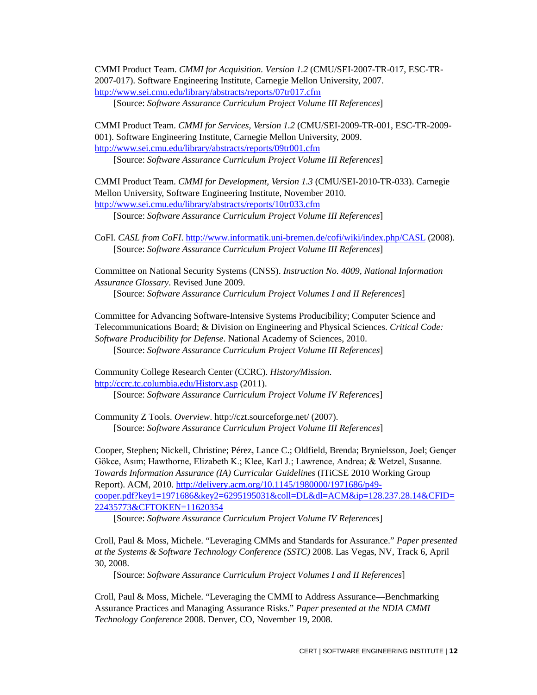CMMI Product Team. *CMMI for Acquisition. Version 1.2* (CMU/SEI-2007-TR-017, ESC-TR-2007-017). Software Engineering Institute, Carnegie Mellon University, 2007. <http://www.sei.cmu.edu/library/abstracts/reports/07tr017.cfm>

[Source: *Software Assurance Curriculum Project Volume III References*]

CMMI Product Team. *CMMI for Services, Version 1.2* (CMU/SEI-2009-TR-001, ESC-TR-2009- 001). Software Engineering Institute, Carnegie Mellon University, 2009. <http://www.sei.cmu.edu/library/abstracts/reports/09tr001.cfm>

[Source: *Software Assurance Curriculum Project Volume III References*]

CMMI Product Team. *CMMI for Development, Version 1.3* (CMU/SEI-2010-TR-033). Carnegie Mellon University, Software Engineering Institute, November 2010. <http://www.sei.cmu.edu/library/abstracts/reports/10tr033.cfm>

[Source: *Software Assurance Curriculum Project Volume III References*]

CoFI. *CASL from CoFI*.<http://www.informatik.uni-bremen.de/cofi/wiki/index.php/CASL> (2008). [Source: *Software Assurance Curriculum Project Volume III References*]

Committee on National Security Systems (CNSS). *Instruction No. 4009, National Information Assurance Glossary*. Revised June 2009.

[Source: *Software Assurance Curriculum Project Volumes I and II References*]

Committee for Advancing Software-Intensive Systems Producibility; Computer Science and Telecommunications Board; & Division on Engineering and Physical Sciences. *Critical Code: Software Producibility for Defense*. National Academy of Sciences, 2010. [Source: *Software Assurance Curriculum Project Volume III References*]

Community College Research Center (CCRC). *History/Mission*. <http://ccrc.tc.columbia.edu/History.asp> (2011). [Source: *Software Assurance Curriculum Project Volume IV References*]

Community Z Tools. *Overview*. http://czt.sourceforge.net/ (2007). [Source: *Software Assurance Curriculum Project Volume III References*]

Cooper, Stephen; Nickell, Christine; Pérez, Lance C.; Oldfield, Brenda; Brynielsson, Joel; Gençer Gökce, Asım; Hawthorne, Elizabeth K.; Klee, Karl J.; Lawrence, Andrea; & Wetzel, Susanne. *Towards Information Assurance (IA) Curricular Guidelines* (ITiCSE 2010 Working Group Report). ACM, 2010[. http://delivery.acm.org/10.1145/1980000/1971686/p49](http://delivery.acm.org/10.1145/1980000/1971686/p49-cooper.pdf?key1=1971686&key2=6295195031&coll=DL&dl=ACM&ip=128.237.28.14&CFID=22435773&CFTOKEN=11620354) [cooper.pdf?key1=1971686&key2=6295195031&coll=DL&dl=ACM&ip=128.237.28.14&CFID=](http://delivery.acm.org/10.1145/1980000/1971686/p49-cooper.pdf?key1=1971686&key2=6295195031&coll=DL&dl=ACM&ip=128.237.28.14&CFID=22435773&CFTOKEN=11620354) [22435773&CFTOKEN=11620354](http://delivery.acm.org/10.1145/1980000/1971686/p49-cooper.pdf?key1=1971686&key2=6295195031&coll=DL&dl=ACM&ip=128.237.28.14&CFID=22435773&CFTOKEN=11620354)

[Source: *Software Assurance Curriculum Project Volume IV References*]

Croll, Paul & Moss, Michele. "Leveraging CMMs and Standards for Assurance." *Paper presented at the Systems & Software Technology Conference (SSTC)* 2008. Las Vegas, NV, Track 6, April 30, 2008.

[Source: *Software Assurance Curriculum Project Volumes I and II References*]

Croll, Paul & Moss, Michele. "Leveraging the CMMI to Address Assurance—Benchmarking Assurance Practices and Managing Assurance Risks." *Paper presented at the NDIA CMMI Technology Conference* 2008. Denver, CO, November 19, 2008.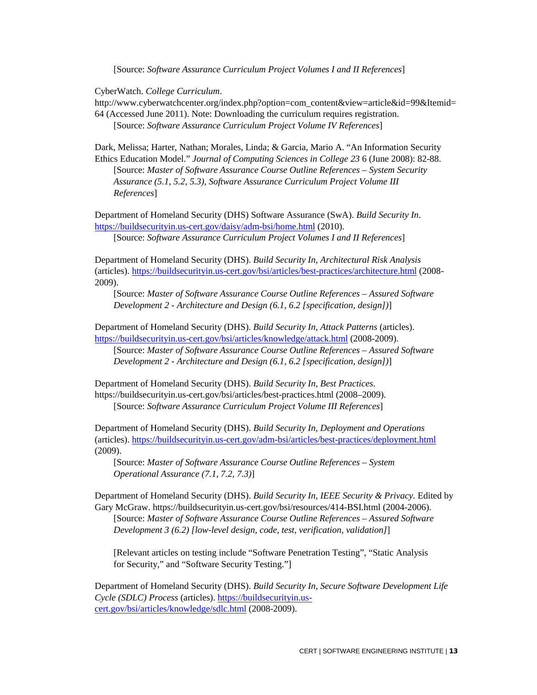[Source: *Software Assurance Curriculum Project Volumes I and II References*]

CyberWatch. *College Curriculum*.

http://www.cyberwatchcenter.org/index.php?option=com\_content&view=article&id=99&Itemid= 64 (Accessed June 2011). Note: Downloading the curriculum requires registration. [Source: *Software Assurance Curriculum Project Volume IV References*]

Dark, Melissa; Harter, Nathan; Morales, Linda; & Garcia, Mario A. "An Information Security Ethics Education Model." *Journal of Computing Sciences in College 23* 6 (June 2008): 82-88. [Source: *Master of Software Assurance Course Outline References – System Security Assurance (5.1, 5.2, 5.3), Software Assurance Curriculum Project Volume III References*]

Department of Homeland Security (DHS) Software Assurance (SwA). *Build Security In*. <https://buildsecurityin.us-cert.gov/daisy/adm-bsi/home.html> (2010).

[Source: *Software Assurance Curriculum Project Volumes I and II References*]

Department of Homeland Security (DHS). *Build Security In, Architectural Risk Analysis* (articles).<https://buildsecurityin.us-cert.gov/bsi/articles/best-practices/architecture.html> (2008- 2009).

[Source: *Master of Software Assurance Course Outline References – Assured Software Development 2 - Architecture and Design (6.1, 6.2 [specification, design])*]

Department of Homeland Security (DHS). *Build Security In, Attack Patterns* (articles). <https://buildsecurityin.us-cert.gov/bsi/articles/knowledge/attack.html> (2008-2009).

[Source: *Master of Software Assurance Course Outline References – Assured Software Development 2 - Architecture and Design (6.1, 6.2 [specification, design])*]

Department of Homeland Security (DHS). *Build Security In, Best Practices*. https://buildsecurityin.us-cert.gov/bsi/articles/best-practices.html (2008–2009). [Source: *Software Assurance Curriculum Project Volume III References*]

Department of Homeland Security (DHS). *Build Security In, Deployment and Operations* (articles).<https://buildsecurityin.us-cert.gov/adm-bsi/articles/best-practices/deployment.html> (2009).

[Source: *Master of Software Assurance Course Outline References – System Operational Assurance (7.1, 7.2, 7.3)*]

Department of Homeland Security (DHS). *Build Security In, IEEE Security & Privacy.* Edited by Gary McGraw. https://buildsecurityin.us-cert.gov/bsi/resources/414-BSI.html (2004-2006). [Source: *Master of Software Assurance Course Outline References – Assured Software* 

*Development 3 (6.2) [low-level design, code, test, verification, validation]*]

[Relevant articles on testing include "Software Penetration Testing", "Static Analysis for Security," and "Software Security Testing."]

Department of Homeland Security (DHS). *Build Security In, Secure Software Development Life Cycle (SDLC) Process* (articles). [https://buildsecurityin.us](https://buildsecurityin.us-cert.gov/bsi/articles/knowledge/sdlc.html)[cert.gov/bsi/articles/knowledge/sdlc.html](https://buildsecurityin.us-cert.gov/bsi/articles/knowledge/sdlc.html) (2008-2009).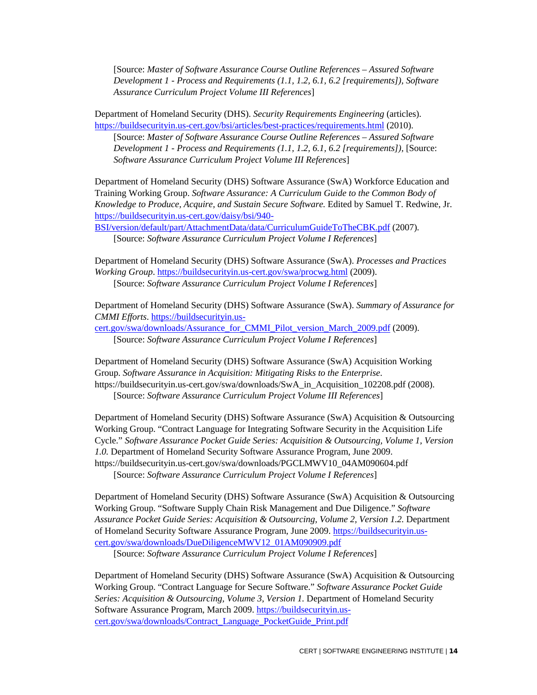[Source: *Master of Software Assurance Course Outline References – Assured Software Development 1 - Process and Requirements (1.1, 1.2, 6.1, 6.2 [requirements]), Software Assurance Curriculum Project Volume III References*]

Department of Homeland Security (DHS). *Security Requirements Engineering* (articles). <https://buildsecurityin.us-cert.gov/bsi/articles/best-practices/requirements.html> (2010).

[Source: *Master of Software Assurance Course Outline References – Assured Software Development 1 - Process and Requirements (1.1, 1.2, 6.1, 6.2 [requirements]),* [Source: *Software Assurance Curriculum Project Volume III References*]

Department of Homeland Security (DHS) Software Assurance (SwA) Workforce Education and Training Working Group. *Software Assurance: A Curriculum Guide to the Common Body of Knowledge to Produce, Acquire, and Sustain Secure Software.* Edited by Samuel T. Redwine, Jr. [https://buildsecurityin.us-cert.gov/daisy/bsi/940-](https://buildsecurityin.us-cert.gov/daisy/bsi/940-BSI/version/default/part/AttachmentData/data/CurriculumGuideToTheCBK.pdf)

[BSI/version/default/part/AttachmentData/data/CurriculumGuideToTheCBK.pdf](https://buildsecurityin.us-cert.gov/daisy/bsi/940-BSI/version/default/part/AttachmentData/data/CurriculumGuideToTheCBK.pdf) (2007). [Source: *Software Assurance Curriculum Project Volume I References*]

Department of Homeland Security (DHS) Software Assurance (SwA). *Processes and Practices Working Group*.<https://buildsecurityin.us-cert.gov/swa/procwg.html> (2009). [Source: *Software Assurance Curriculum Project Volume I References*]

Department of Homeland Security (DHS) Software Assurance (SwA). *Summary of Assurance for CMMI Efforts*. [https://buildsecurityin.us](https://buildsecurityin.us-cert.gov/swa/downloads/Assurance_for_CMMI_Pilot_version_March_2009.pdf)[cert.gov/swa/downloads/Assurance\\_for\\_CMMI\\_Pilot\\_version\\_March\\_2009.pdf](https://buildsecurityin.us-cert.gov/swa/downloads/Assurance_for_CMMI_Pilot_version_March_2009.pdf) (2009).

[Source: *Software Assurance Curriculum Project Volume I References*]

Department of Homeland Security (DHS) Software Assurance (SwA) Acquisition Working Group. *Software Assurance in Acquisition: Mitigating Risks to the Enterprise*. https://buildsecurityin.us-cert.gov/swa/downloads/SwA\_in\_Acquisition\_102208.pdf (2008). [Source: *Software Assurance Curriculum Project Volume III References*]

Department of Homeland Security (DHS) Software Assurance (SwA) Acquisition & Outsourcing Working Group. "Contract Language for Integrating Software Security in the Acquisition Life Cycle." *Software Assurance Pocket Guide Series: Acquisition & Outsourcing, Volume 1, Version 1.0.* Department of Homeland Security Software Assurance Program, June 2009. https://buildsecurityin.us-cert.gov/swa/downloads/PGCLMWV10\_04AM090604.pdf [Source: *Software Assurance Curriculum Project Volume I References*]

Department of Homeland Security (DHS) Software Assurance (SwA) Acquisition & Outsourcing Working Group. "Software Supply Chain Risk Management and Due Diligence." *Software Assurance Pocket Guide Series: Acquisition & Outsourcing, Volume 2, Version 1.2.* Department of Homeland Security Software Assurance Program, June 2009. [https://buildsecurityin.us](https://buildsecurityin.us-cert.gov/swa/downloads/DueDiligenceMWV12_01AM090909.pdf)[cert.gov/swa/downloads/DueDiligenceMWV12\\_01AM090909.pdf](https://buildsecurityin.us-cert.gov/swa/downloads/DueDiligenceMWV12_01AM090909.pdf)

[Source: *Software Assurance Curriculum Project Volume I References*]

Department of Homeland Security (DHS) Software Assurance (SwA) Acquisition & Outsourcing Working Group. "Contract Language for Secure Software." *Software Assurance Pocket Guide Series: Acquisition & Outsourcing, Volume 3, Version 1.* Department of Homeland Security Software Assurance Program, March 2009[. https://buildsecurityin.us](https://buildsecurityin.us-cert.gov/swa/downloads/Contract_Language_PocketGuide_Print.pdf)[cert.gov/swa/downloads/Contract\\_Language\\_PocketGuide\\_Print.pdf](https://buildsecurityin.us-cert.gov/swa/downloads/Contract_Language_PocketGuide_Print.pdf)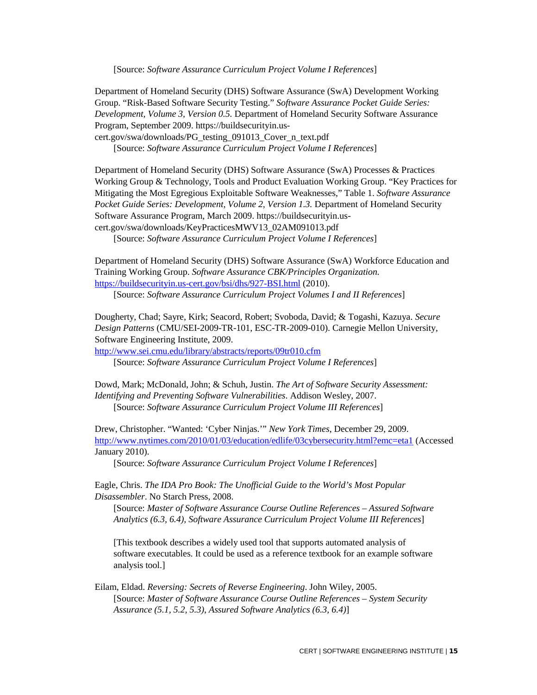[Source: *Software Assurance Curriculum Project Volume I References*]

Department of Homeland Security (DHS) Software Assurance (SwA) Development Working Group. "Risk-Based Software Security Testing." *Software Assurance Pocket Guide Series: Development, Volume 3, Version 0.5.* Department of Homeland Security Software Assurance Program, September 2009. https://buildsecurityin.uscert.gov/swa/downloads/PG\_testing\_091013\_Cover\_n\_text.pdf

[Source: *Software Assurance Curriculum Project Volume I References*]

Department of Homeland Security (DHS) Software Assurance (SwA) Processes & Practices Working Group & Technology, Tools and Product Evaluation Working Group. "Key Practices for Mitigating the Most Egregious Exploitable Software Weaknesses," Table 1. *Software Assurance Pocket Guide Series: Development, Volume 2, Version 1.3.* Department of Homeland Security Software Assurance Program, March 2009. https://buildsecurityin.uscert.gov/swa/downloads/KeyPracticesMWV13\_02AM091013.pdf [Source: *Software Assurance Curriculum Project Volume I References*]

Department of Homeland Security (DHS) Software Assurance (SwA) Workforce Education and Training Working Group. *Software Assurance CBK/Principles Organization.*  <https://buildsecurityin.us-cert.gov/bsi/dhs/927-BSI.html> (2010).

[Source: *Software Assurance Curriculum Project Volumes I and II References*]

Dougherty, Chad; Sayre, Kirk; Seacord, Robert; Svoboda, David; & Togashi, Kazuya. *Secure Design Patterns* (CMU/SEI-2009-TR-101, ESC-TR-2009-010). Carnegie Mellon University, Software Engineering Institute, 2009.

<http://www.sei.cmu.edu/library/abstracts/reports/09tr010.cfm> [Source: *Software Assurance Curriculum Project Volume I References*]

Dowd, Mark; McDonald, John; & Schuh, Justin. *The Art of Software Security Assessment: Identifying and Preventing Software Vulnerabilities*. Addison Wesley, 2007. [Source: *Software Assurance Curriculum Project Volume III References*]

Drew, Christopher. "Wanted: 'Cyber Ninjas.'" *New York Times*, December 29, 2009. <http://www.nytimes.com/2010/01/03/education/edlife/03cybersecurity.html?emc=eta1> (Accessed January 2010).

[Source: *Software Assurance Curriculum Project Volume I References*]

Eagle, Chris. *The IDA Pro Book: The Unofficial Guide to the World's Most Popular Disassembler*. No Starch Press, 2008.

[Source: *Master of Software Assurance Course Outline References – Assured Software Analytics (6.3, 6.4), Software Assurance Curriculum Project Volume III References*]

[This textbook describes a widely used tool that supports automated analysis of software executables. It could be used as a reference textbook for an example software analysis tool.]

Eilam, Eldad. *Reversing: Secrets of Reverse Engineering*. John Wiley, 2005. [Source: *Master of Software Assurance Course Outline References – System Security Assurance (5.1, 5.2, 5.3)*, *Assured Software Analytics (6.3, 6.4)*]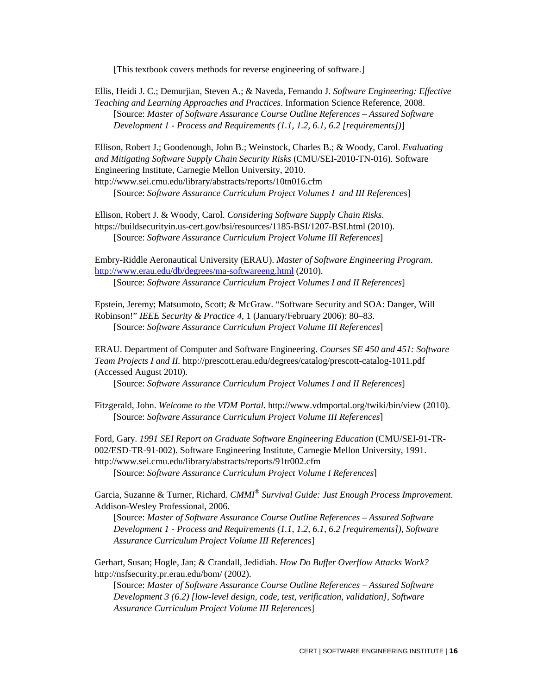[This textbook covers methods for reverse engineering of software.]

Ellis, Heidi J. C.; Demurjian, Steven A.; & Naveda, Fernando J. *Software Engineering: Effective Teaching and Learning Approaches and Practices*. Information Science Reference, 2008. [Source: *Master of Software Assurance Course Outline References – Assured Software Development 1 - Process and Requirements (1.1, 1.2, 6.1, 6.2 [requirements])*]

Ellison, Robert J.; Goodenough, John B.; Weinstock, Charles B.; & Woody, Carol. *Evaluating and Mitigating Software Supply Chain Security Risks* (CMU/SEI-2010-TN-016). Software Engineering Institute, Carnegie Mellon University, 2010. http://www.sei.cmu.edu/library/abstracts/reports/10tn016.cfm

[Source: *Software Assurance Curriculum Project Volumes I and III References*]

Ellison, Robert J. & Woody, Carol. *Considering Software Supply Chain Risks*. https://buildsecurityin.us-cert.gov/bsi/resources/1185-BSI/1207-BSI.html (2010). [Source: *Software Assurance Curriculum Project Volume III References*]

Embry-Riddle Aeronautical University (ERAU). *Master of Software Engineering Program*. <http://www.erau.edu/db/degrees/ma-softwareeng.html> (2010). [Source: *Software Assurance Curriculum Project Volumes I and II References*]

Epstein, Jeremy; Matsumoto, Scott; & McGraw. "Software Security and SOA: Danger, Will Robinson!" *IEEE Security & Practice 4*, 1 (January/February 2006): 80–83. [Source: *Software Assurance Curriculum Project Volume III References*]

ERAU. Department of Computer and Software Engineering. *Courses SE 450 and 451: Software Team Projects I and II.* http://prescott.erau.edu/degrees/catalog/prescott-catalog-1011.pdf (Accessed August 2010).

[Source: *Software Assurance Curriculum Project Volumes I and II References*]

Fitzgerald, John. *Welcome to the VDM Portal*. http://www.vdmportal.org/twiki/bin/view (2010). [Source: *Software Assurance Curriculum Project Volume III References*]

Ford, Gary. *1991 SEI Report on Graduate Software Engineering Education* (CMU/SEI-91-TR-002/ESD-TR-91-002). Software Engineering Institute, Carnegie Mellon University, 1991. http://www.sei.cmu.edu/library/abstracts/reports/91tr002.cfm

[Source: *Software Assurance Curriculum Project Volume I References*]

Garcia, Suzanne & Turner, Richard. *CMMI® Survival Guide: Just Enough Process Improvement*. Addison-Wesley Professional, 2006.

[Source: *Master of Software Assurance Course Outline References – Assured Software Development 1 - Process and Requirements (1.1, 1.2, 6.1, 6.2 [requirements]), Software Assurance Curriculum Project Volume III References*]

Gerhart, Susan; Hogle, Jan; & Crandall, Jedidiah. *How Do Buffer Overflow Attacks Work?* http://nsfsecurity.pr.erau.edu/bom/ (2002).

[Source: *Master of Software Assurance Course Outline References – Assured Software Development 3 (6.2) [low-level design, code, test, verification, validation], Software Assurance Curriculum Project Volume III References*]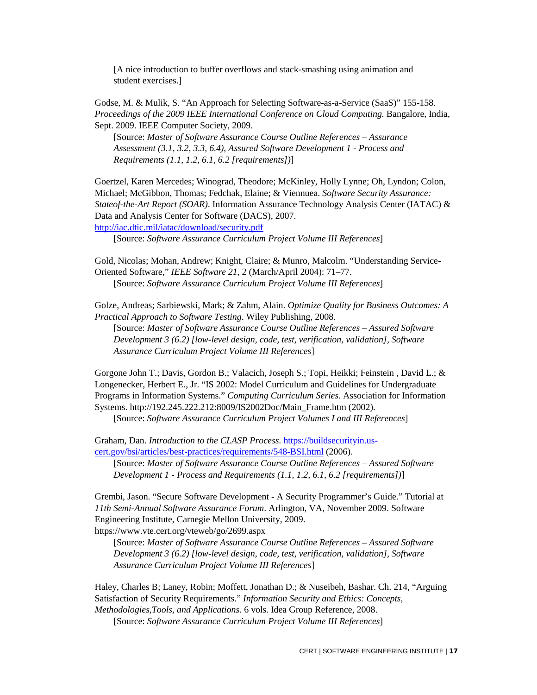[A nice introduction to buffer overflows and stack-smashing using animation and student exercises.]

Godse, M. & Mulik, S. "An Approach for Selecting Software-as-a-Service (SaaS)" 155-158. *Proceedings of the 2009 IEEE International Conference on Cloud Computing.* Bangalore, India, Sept. 2009. IEEE Computer Society, 2009.

[Source: *Master of Software Assurance Course Outline References – Assurance Assessment (3.1, 3.2, 3.3, 6.4)*, *Assured Software Development 1 - Process and Requirements (1.1, 1.2, 6.1, 6.2 [requirements])*]

Goertzel, Karen Mercedes; Winograd, Theodore; McKinley, Holly Lynne; Oh, Lyndon; Colon, Michael; McGibbon, Thomas; Fedchak, Elaine; & Viennuea. *Software Security Assurance: Stateof-the-Art Report (SOAR)*. Information Assurance Technology Analysis Center (IATAC) & Data and Analysis Center for Software (DACS), 2007.

<http://iac.dtic.mil/iatac/download/security.pdf>

[Source: *Software Assurance Curriculum Project Volume III References*]

Gold, Nicolas; Mohan, Andrew; Knight, Claire; & Munro, Malcolm. "Understanding Service-Oriented Software," *IEEE Software 21*, 2 (March/April 2004): 71–77. [Source: *Software Assurance Curriculum Project Volume III References*]

Golze, Andreas; Sarbiewski, Mark; & Zahm, Alain. *Optimize Quality for Business Outcomes: A Practical Approach to Software Testing*. Wiley Publishing, 2008.

[Source: *Master of Software Assurance Course Outline References – Assured Software Development 3 (6.2) [low-level design, code, test, verification, validation], Software Assurance Curriculum Project Volume III References*]

Gorgone John T.; Davis, Gordon B.; Valacich, Joseph S.; Topi, Heikki; Feinstein , David L.; & Longenecker, Herbert E., Jr. "IS 2002: Model Curriculum and Guidelines for Undergraduate Programs in Information Systems." *Computing Curriculum Series*. Association for Information Systems. http://192.245.222.212:8009/IS2002Doc/Main\_Frame.htm (2002).

[Source: *Software Assurance Curriculum Project Volumes I and III References*]

Graham, Dan. *Introduction to the CLASP Process*. [https://buildsecurityin.us](https://buildsecurityin.us-cert.gov/bsi/articles/best-practices/requirements/548-BSI.html)[cert.gov/bsi/articles/best-practices/requirements/548-BSI.html](https://buildsecurityin.us-cert.gov/bsi/articles/best-practices/requirements/548-BSI.html) (2006).

[Source: *Master of Software Assurance Course Outline References – Assured Software Development 1 - Process and Requirements (1.1, 1.2, 6.1, 6.2 [requirements])*]

Grembi, Jason. "Secure Software Development - A Security Programmer's Guide." Tutorial at *11th Semi-Annual Software Assurance Forum*. Arlington, VA, November 2009. Software Engineering Institute, Carnegie Mellon University, 2009. https://www.vte.cert.org/vteweb/go/2699.aspx

[Source: *Master of Software Assurance Course Outline References – Assured Software Development 3 (6.2) [low-level design, code, test, verification, validation], Software Assurance Curriculum Project Volume III References*]

Haley, Charles B; Laney, Robin; Moffett, Jonathan D.; & Nuseibeh, Bashar. Ch. 214, "Arguing Satisfaction of Security Requirements." *Information Security and Ethics: Concepts, Methodologies,Tools, and Applications*. 6 vols. Idea Group Reference, 2008.

[Source: *Software Assurance Curriculum Project Volume III References*]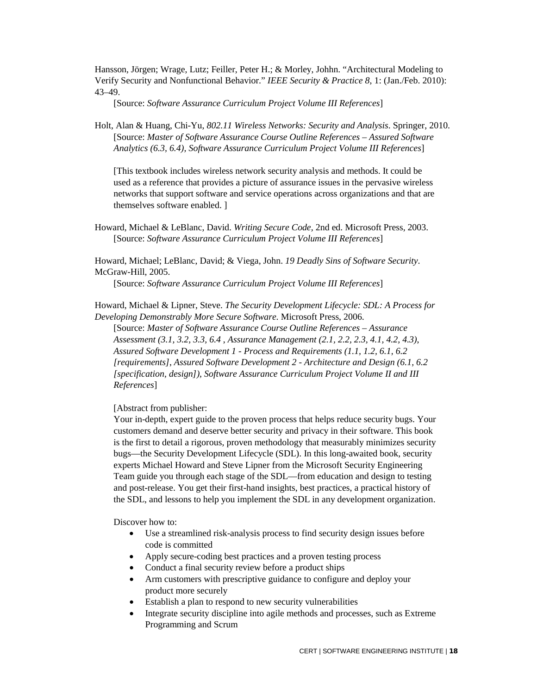Hansson, Jörgen; Wrage, Lutz; Feiller, Peter H.; & Morley, Johhn. "Architectural Modeling to Verify Security and Nonfunctional Behavior." *IEEE Security & Practice 8*, 1: (Jan./Feb. 2010): 43–49.

[Source: *Software Assurance Curriculum Project Volume III References*]

Holt, Alan & Huang, Chi-Yu, *802.11 Wireless Networks: Security and Analysis*. Springer, 2010. [Source: *Master of Software Assurance Course Outline References – Assured Software Analytics (6.3, 6.4), Software Assurance Curriculum Project Volume III References*]

[This textbook includes wireless network security analysis and methods. It could be used as a reference that provides a picture of assurance issues in the pervasive wireless networks that support software and service operations across organizations and that are themselves software enabled. ]

Howard, Michael & LeBlanc, David. *Writing Secure Code,* 2nd ed. Microsoft Press, 2003. [Source: *Software Assurance Curriculum Project Volume III References*]

Howard, Michael; LeBlanc, David; & Viega, John. *19 Deadly Sins of Software Security*. McGraw-Hill, 2005.

[Source: *Software Assurance Curriculum Project Volume III References*]

Howard, Michael & Lipner, Steve. *The Security Development Lifecycle: SDL: A Process for Developing Demonstrably More Secure Software.* Microsoft Press, 2006.

[Source: *Master of Software Assurance Course Outline References – Assurance Assessment (3.1, 3.2, 3.3, 6.4* , *Assurance Management (2.1, 2.2, 2.3, 4.1, 4.2, 4.3)*, *Assured Software Development 1 - Process and Requirements (1.1, 1.2, 6.1, 6.2 [requirements]*, *Assured Software Development 2 - Architecture and Design (6.1, 6.2 [specification, design]), Software Assurance Curriculum Project Volume II and III References*]

[Abstract from publisher:

Your in-depth, expert guide to the proven process that helps reduce security bugs. Your customers demand and deserve better security and privacy in their software. This book is the first to detail a rigorous, proven methodology that measurably minimizes security bugs—the Security Development Lifecycle (SDL). In this long-awaited book, security experts Michael Howard and Steve Lipner from the Microsoft Security Engineering Team guide you through each stage of the SDL—from education and design to testing and post-release. You get their first-hand insights, best practices, a practical history of the SDL, and lessons to help you implement the SDL in any development organization.

Discover how to:

- Use a streamlined risk-analysis process to find security design issues before code is committed
- Apply secure-coding best practices and a proven testing process
- Conduct a final security review before a product ships
- Arm customers with prescriptive guidance to configure and deploy your product more securely
- Establish a plan to respond to new security vulnerabilities
- Integrate security discipline into agile methods and processes, such as Extreme Programming and Scrum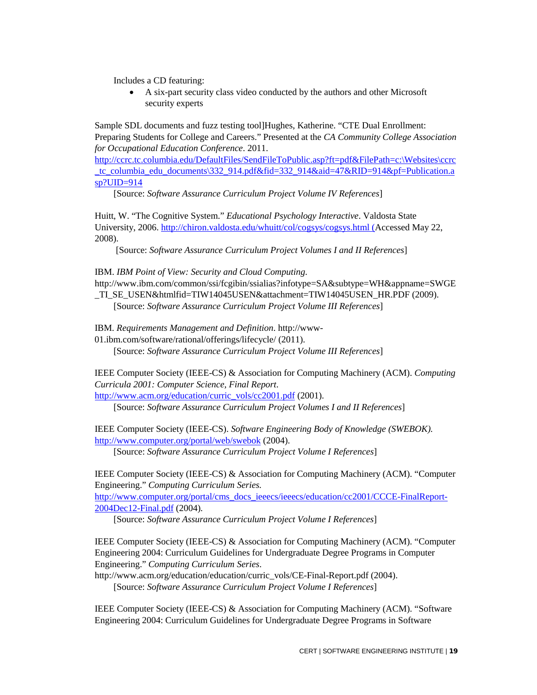Includes a CD featuring:

• A six-part security class video conducted by the authors and other Microsoft security experts

Sample SDL documents and fuzz testing tool]Hughes, Katherine. "CTE Dual Enrollment: Preparing Students for College and Careers." Presented at the *CA Community College Association for Occupational Education Conference*. 2011.

[http://ccrc.tc.columbia.edu/DefaultFiles/SendFileToPublic.asp?ft=pdf&FilePath=c:\Websites\ccrc](http://ccrc.tc.columbia.edu/DefaultFiles/SendFileToPublic.asp?ft=pdf&FilePath=c:\Websites\ccrc_tc_columbia_edu_documents\332_914.pdf&fid=332_914&aid=47&RID=914&pf=Publication.asp?UID=914) [\\_tc\\_columbia\\_edu\\_documents\332\\_914.pdf&fid=332\\_914&aid=47&RID=914&pf=Publication.a](http://ccrc.tc.columbia.edu/DefaultFiles/SendFileToPublic.asp?ft=pdf&FilePath=c:\Websites\ccrc_tc_columbia_edu_documents\332_914.pdf&fid=332_914&aid=47&RID=914&pf=Publication.asp?UID=914)  $sp?UID=914$ 

[Source: *Software Assurance Curriculum Project Volume IV References*]

Huitt, W. "The Cognitive System." *Educational Psychology Interactive*. Valdosta State University, 2006. [http://chiron.valdosta.edu/whuitt/col/cogsys/cogsys.html \(A](http://chiron.valdosta.edu/whuitt/col/cogsys/cogsys.html%20()ccessed May 22, 2008).

[Source: *Software Assurance Curriculum Project Volumes I and II References*]

IBM. *IBM Point of View: Security and Cloud Computing*.

http://www.ibm.com/common/ssi/fcgibin/ssialias?infotype=SA&subtype=WH&appname=SWGE \_TI\_SE\_USEN&htmlfid=TIW14045USEN&attachment=TIW14045USEN\_HR.PDF (2009).

[Source: *Software Assurance Curriculum Project Volume III References*]

IBM. *Requirements Management and Definition*. http://www-

01.ibm.com/software/rational/offerings/lifecycle/ (2011).

[Source: *Software Assurance Curriculum Project Volume III References*]

IEEE Computer Society (IEEE-CS) & Association for Computing Machinery (ACM). *Computing Curricula 2001: Computer Science, Final Report*.

[http://www.acm.org/education/curric\\_vols/cc2001.pdf](http://www.acm.org/education/curric_vols/cc2001.pdf) (2001).

[Source: *Software Assurance Curriculum Project Volumes I and II References*]

IEEE Computer Society (IEEE-CS). *Software Engineering Body of Knowledge (SWEBOK).* <http://www.computer.org/portal/web/swebok> (2004).

[Source: *Software Assurance Curriculum Project Volume I References*]

IEEE Computer Society (IEEE-CS) & Association for Computing Machinery (ACM). "Computer Engineering." *Computing Curriculum Series.*

[http://www.computer.org/portal/cms\\_docs\\_ieeecs/ieeecs/education/cc2001/CCCE-FinalReport-](http://www.computer.org/portal/cms_docs_ieeecs/ieeecs/education/cc2001/CCCE-FinalReport-2004Dec12-Final.pdf)[2004Dec12-Final.pdf](http://www.computer.org/portal/cms_docs_ieeecs/ieeecs/education/cc2001/CCCE-FinalReport-2004Dec12-Final.pdf) (2004).

[Source: *Software Assurance Curriculum Project Volume I References*]

IEEE Computer Society (IEEE-CS) & Association for Computing Machinery (ACM). "Computer Engineering 2004: Curriculum Guidelines for Undergraduate Degree Programs in Computer Engineering." *Computing Curriculum Series*.

[http://www.acm.org/education/education/curric\\_vols/CE-Final-Report.pdf](http://www.acm.org/education/education/curric_vols/CE-Final-Report.pdf) (2004).

[Source: *Software Assurance Curriculum Project Volume I References*]

IEEE Computer Society (IEEE-CS) & Association for Computing Machinery (ACM). "Software Engineering 2004: Curriculum Guidelines for Undergraduate Degree Programs in Software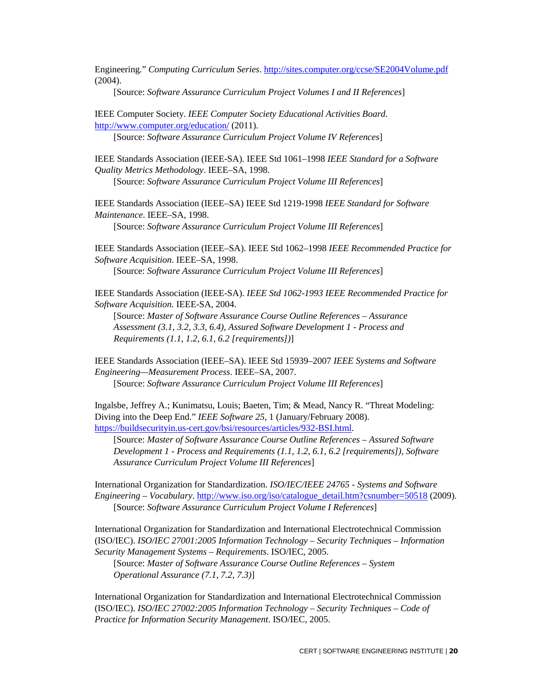Engineering*.*" *Computing Curriculum Series*.<http://sites.computer.org/ccse/SE2004Volume.pdf> (2004).

[Source: *Software Assurance Curriculum Project Volumes I and II References*]

IEEE Computer Society. *IEEE Computer Society Educational Activities Board*. <http://www.computer.org/education/> (2011).

[Source: *Software Assurance Curriculum Project Volume IV References*]

IEEE Standards Association (IEEE-SA). IEEE Std 1061–1998 *IEEE Standard for a Software Quality Metrics Methodology*. IEEE–SA, 1998. [Source: *Software Assurance Curriculum Project Volume III References*]

IEEE Standards Association (IEEE–SA) IEEE Std 1219-1998 *IEEE Standard for Software Maintenance*. IEEE–SA, 1998.

[Source: *Software Assurance Curriculum Project Volume III References*]

IEEE Standards Association (IEEE–SA). IEEE Std 1062–1998 *IEEE Recommended Practice for Software Acquisition*. IEEE–SA, 1998.

[Source: *Software Assurance Curriculum Project Volume III References*]

IEEE Standards Association (IEEE-SA). *IEEE Std 1062-1993 IEEE Recommended Practice for Software Acquisition.* IEEE-SA, 2004.

[Source: *Master of Software Assurance Course Outline References – Assurance Assessment (3.1, 3.2, 3.3, 6.4)*, *Assured Software Development 1 - Process and Requirements (1.1, 1.2, 6.1, 6.2 [requirements])*]

IEEE Standards Association (IEEE–SA). IEEE Std 15939–2007 *IEEE Systems and Software Engineering—Measurement Process*. IEEE–SA, 2007. [Source: *Software Assurance Curriculum Project Volume III References*]

Ingalsbe, Jeffrey A.; Kunimatsu, Louis; Baeten, Tim; & Mead, Nancy R. "Threat Modeling:

Diving into the Deep End." *IEEE Software 25*, 1 (January/February 2008). [https://buildsecurityin.us-cert.gov/bsi/resources/articles/932-BSI.html.](https://buildsecurityin.us-cert.gov/bsi/resources/articles/932-BSI.html)

[Source: *Master of Software Assurance Course Outline References – Assured Software Development 1 - Process and Requirements (1.1, 1.2, 6.1, 6.2 [requirements]), Software Assurance Curriculum Project Volume III References*]

International Organization for Standardization. *ISO/IEC/IEEE 24765 - Systems and Software Engineering – Vocabulary*[. http://www.iso.org/iso/catalogue\\_detail.htm?csnumber=50518](http://www.iso.org/iso/catalogue_detail.htm?csnumber=50518) (2009). [Source: *Software Assurance Curriculum Project Volume I References*]

International Organization for Standardization and International Electrotechnical Commission (ISO/IEC). *ISO/IEC 27001:2005 Information Technology – Security Techniques – Information Security Management Systems – Requirements*. ISO/IEC, 2005.

[Source: *Master of Software Assurance Course Outline References – System Operational Assurance (7.1, 7.2, 7.3)*]

International Organization for Standardization and International Electrotechnical Commission (ISO/IEC). *ISO/IEC 27002:2005 Information Technology – Security Techniques – Code of Practice for Information Security Management*. ISO/IEC, 2005.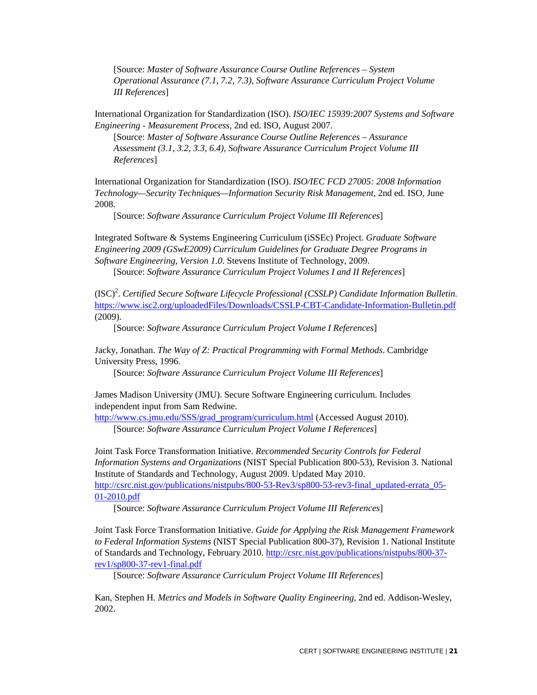[Source: *Master of Software Assurance Course Outline References – System Operational Assurance (7.1, 7.2, 7.3), Software Assurance Curriculum Project Volume III References*]

International Organization for Standardization (ISO). *ISO/IEC 15939:2007 Systems and Software Engineering - Measurement Process,* 2nd ed. ISO, August 2007.

[Source: *Master of Software Assurance Course Outline References – Assurance Assessment (3.1, 3.2, 3.3, 6.4), Software Assurance Curriculum Project Volume III References*]

International Organization for Standardization (ISO). *ISO/IEC FCD 27005: 2008 Information Technology—Security Techniques—Information Security Risk Management*, 2nd ed. ISO, June 2008.

[Source: *Software Assurance Curriculum Project Volume III References*]

Integrated Software & Systems Engineering Curriculum (iSSEc) Project. *Graduate Software Engineering 2009 (GSwE2009) Curriculum Guidelines for Graduate Degree Programs in Software Engineering, Version 1.0*. Stevens Institute of Technology, 2009. [Source: *Software Assurance Curriculum Project Volumes I and II References*]

(ISC)2 . *Certified Secure Software Lifecycle Professional (CSSLP) Candidate Information Bulletin.* <https://www.isc2.org/uploadedFiles/Downloads/CSSLP-CBT-Candidate-Information-Bulletin.pdf> (2009).

[Source: *Software Assurance Curriculum Project Volume I References*]

Jacky, Jonathan. *The Way of Z: Practical Programming with Formal Methods*. Cambridge University Press, 1996.

[Source: *Software Assurance Curriculum Project Volume III References*]

James Madison University (JMU). Secure Software Engineering curriculum. Includes independent input from Sam Redwine.

[http://www.cs.jmu.edu/SSS/grad\\_program/curriculum.html](http://www.cs.jmu.edu/SSS/grad_program/curriculum.html) (Accessed August 2010). [Source: *Software Assurance Curriculum Project Volume I References*]

Joint Task Force Transformation Initiative. *Recommended Security Controls for Federal Information Systems and Organizations* (NIST Special Publication 800-53), Revision 3. National Institute of Standards and Technology, August 2009. Updated May 2010. [http://csrc.nist.gov/publications/nistpubs/800-53-Rev3/sp800-53-rev3-final\\_updated-errata\\_05-](http://csrc.nist.gov/publications/nistpubs/800-53-Rev3/sp800-53-rev3-final_updated-errata_05-01-2010.pdf) [01-2010.pdf](http://csrc.nist.gov/publications/nistpubs/800-53-Rev3/sp800-53-rev3-final_updated-errata_05-01-2010.pdf)

[Source: *Software Assurance Curriculum Project Volume III References*]

Joint Task Force Transformation Initiative. *Guide for Applying the Risk Management Framework to Federal Information Systems* (NIST Special Publication 800-37), Revision 1. National Institute of Standards and Technology, February 2010. [http://csrc.nist.gov/publications/nistpubs/800-37](http://csrc.nist.gov/publications/nistpubs/800-37-%20rev1/sp800-37-rev1-final.pdf) [rev1/sp800-37-rev1-final.pdf](http://csrc.nist.gov/publications/nistpubs/800-37-%20rev1/sp800-37-rev1-final.pdf)

[Source: *Software Assurance Curriculum Project Volume III References*]

Kan, Stephen H. *Metrics and Models in Software Quality Engineering*, 2nd ed. Addison-Wesley, 2002.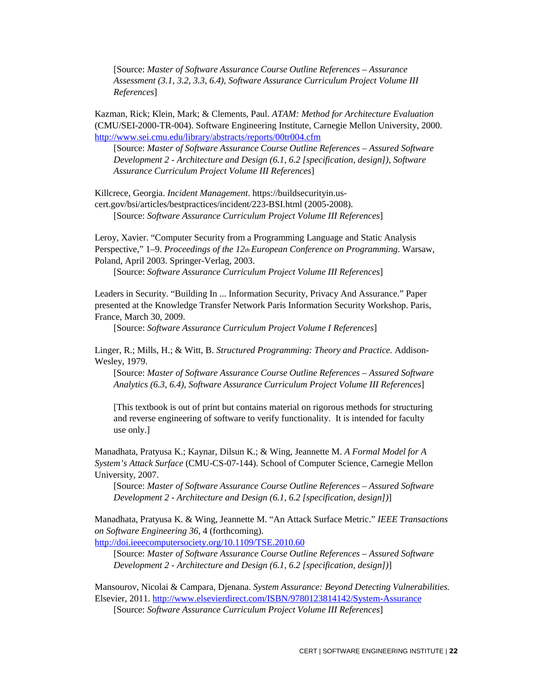[Source: *Master of Software Assurance Course Outline References – Assurance Assessment (3.1, 3.2, 3.3, 6.4), Software Assurance Curriculum Project Volume III References*]

Kazman, Rick; Klein, Mark; & Clements, Paul. *ATAM: Method for Architecture Evaluation* (CMU/SEI-2000-TR-004). Software Engineering Institute, Carnegie Mellon University, 2000. <http://www.sei.cmu.edu/library/abstracts/reports/00tr004.cfm>

[Source: *Master of Software Assurance Course Outline References – Assured Software Development 2 - Architecture and Design (6.1, 6.2 [specification, design]), Software Assurance Curriculum Project Volume III References*]

Killcrece, Georgia. *Incident Management*. https://buildsecurityin.uscert.gov/bsi/articles/bestpractices/incident/223-BSI.html (2005-2008).

[Source: *Software Assurance Curriculum Project Volume III References*]

Leroy, Xavier. "Computer Security from a Programming Language and Static Analysis Perspective," 1–9. *Proceedings of the 12th European Conference on Programming*. Warsaw, Poland, April 2003. Springer-Verlag, 2003.

[Source: *Software Assurance Curriculum Project Volume III References*]

Leaders in Security. "Building In ... Information Security, Privacy And Assurance." Paper presented at the Knowledge Transfer Network Paris Information Security Workshop. Paris, France, March 30, 2009.

[Source: *Software Assurance Curriculum Project Volume I References*]

Linger, R.; Mills, H.; & Witt, B. *Structured Programming: Theory and Practice.* Addison-Wesley, 1979.

[Source: *Master of Software Assurance Course Outline References – Assured Software Analytics (6.3, 6.4), Software Assurance Curriculum Project Volume III References*]

[This textbook is out of print but contains material on rigorous methods for structuring and reverse engineering of software to verify functionality. It is intended for faculty use only.]

Manadhata, Pratyusa K.; Kaynar, Dilsun K.; & Wing, Jeannette M. *A Formal Model for A System's Attack Surface* (CMU-CS-07-144). School of Computer Science, Carnegie Mellon University, 2007.

[Source: *Master of Software Assurance Course Outline References – Assured Software Development 2 - Architecture and Design (6.1, 6.2 [specification, design])*]

Manadhata, Pratyusa K. & Wing, Jeannette M. "An Attack Surface Metric." *IEEE Transactions on Software Engineering 36,* 4 (forthcoming).

<http://doi.ieeecomputersociety.org/10.1109/TSE.2010.60>

[Source: *Master of Software Assurance Course Outline References – Assured Software Development 2 - Architecture and Design (6.1, 6.2 [specification, design])*]

Mansourov, Nicolai & Campara, Djenana. *System Assurance: Beyond Detecting Vulnerabilities.* Elsevier, 2011. http://www.elsevierdirect.com/ISBN/9780123814142/System-Assurance

[Source: *Software Assurance Curriculum Project Volume III References*]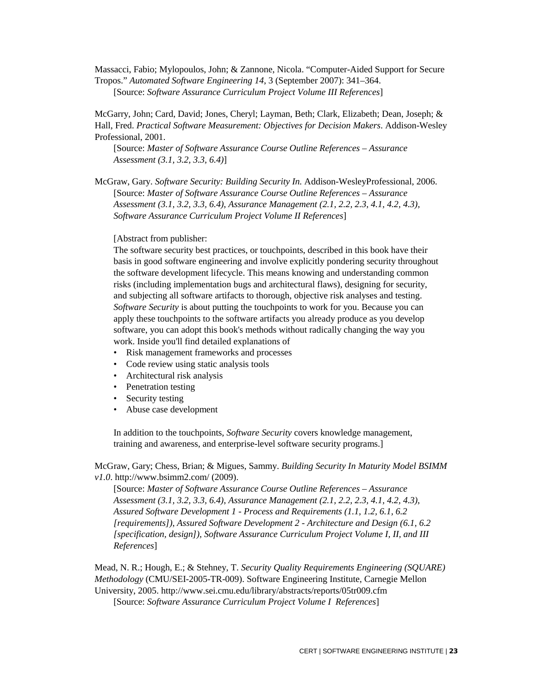Massacci, Fabio; Mylopoulos, John; & Zannone, Nicola. "Computer-Aided Support for Secure Tropos." *Automated Software Engineering 14*, 3 (September 2007): 341–364.

[Source: *Software Assurance Curriculum Project Volume III References*]

McGarry, John; Card, David; Jones, Cheryl; Layman, Beth; Clark, Elizabeth; Dean, Joseph; & Hall, Fred. *Practical Software Measurement: Objectives for Decision Makers*. Addison-Wesley Professional, 2001.

[Source: *Master of Software Assurance Course Outline References – Assurance Assessment (3.1, 3.2, 3.3, 6.4)*]

McGraw, Gary. *Software Security: Building Security In.* Addison-WesleyProfessional, 2006. [Source: *Master of Software Assurance Course Outline References – Assurance Assessment (3.1, 3.2, 3.3, 6.4)*, *Assurance Management (2.1, 2.2, 2.3, 4.1, 4.2, 4.3), Software Assurance Curriculum Project Volume II References*]

#### [Abstract from publisher:

The software security best practices, or touchpoints, described in this book have their basis in good software engineering and involve explicitly pondering security throughout the software development lifecycle. This means knowing and understanding common risks (including implementation bugs and architectural flaws), designing for security, and subjecting all software artifacts to thorough, objective risk analyses and testing. *Software Security* is about putting the touchpoints to work for you. Because you can apply these touchpoints to the software artifacts you already produce as you develop software, you can adopt this book's methods without radically changing the way you work. Inside you'll find detailed explanations of

- Risk management frameworks and processes
- Code review using static analysis tools
- Architectural risk analysis
- Penetration testing
- Security testing
- Abuse case development

In addition to the touchpoints, *Software Security* covers knowledge management, training and awareness, and enterprise-level software security programs.]

McGraw, Gary; Chess, Brian; & Migues, Sammy. *Building Security In Maturity Model BSIMM v1.0*. http://www.bsimm2.com/ (2009).

[Source: *Master of Software Assurance Course Outline References – Assurance Assessment (3.1, 3.2, 3.3, 6.4)*, *Assurance Management (2.1, 2.2, 2.3, 4.1, 4.2, 4.3)*, *Assured Software Development 1 - Process and Requirements (1.1, 1.2, 6.1, 6.2 [requirements])*, *Assured Software Development 2 - Architecture and Design (6.1, 6.2 [specification, design]), Software Assurance Curriculum Project Volume I, II, and III References*]

Mead, N. R.; Hough, E.; & Stehney, T. *Security Quality Requirements Engineering (SQUARE) Methodology* (CMU/SEI-2005-TR-009). Software Engineering Institute, Carnegie Mellon University, 2005. http://www.sei.cmu.edu/library/abstracts/reports/05tr009.cfm

[Source: *Software Assurance Curriculum Project Volume I References*]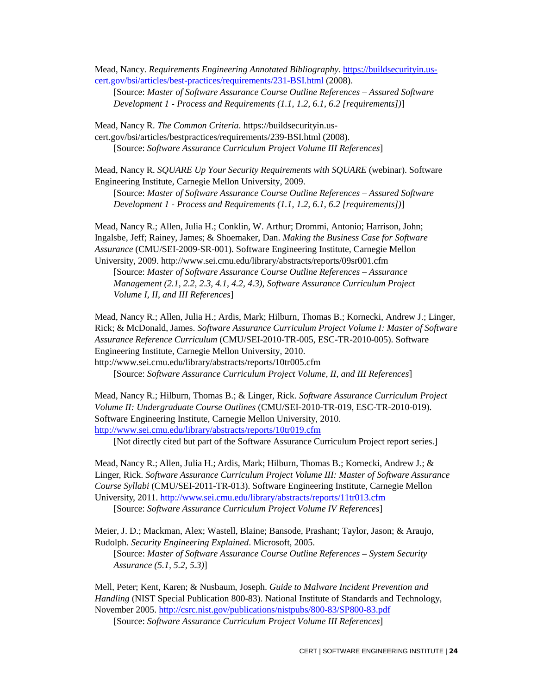Mead, Nancy. *Requirements Engineering Annotated Bibliography.* [https://buildsecurityin.us](https://buildsecurityin.us-cert.gov/bsi/articles/best-practices/requirements/231-BSI.html)[cert.gov/bsi/articles/best-practices/requirements/231-BSI.html](https://buildsecurityin.us-cert.gov/bsi/articles/best-practices/requirements/231-BSI.html) (2008).

[Source: *Master of Software Assurance Course Outline References – Assured Software Development 1 - Process and Requirements (1.1, 1.2, 6.1, 6.2 [requirements])*]

Mead, Nancy R. *The Common Criteria*. https://buildsecurityin.uscert.gov/bsi/articles/bestpractices/requirements/239-BSI.html (2008). [Source: *Software Assurance Curriculum Project Volume III References*]

Mead, Nancy R. *SQUARE Up Your Security Requirements with SQUARE* (webinar). Software Engineering Institute, Carnegie Mellon University, 2009.

[Source: *Master of Software Assurance Course Outline References – Assured Software Development 1 - Process and Requirements (1.1, 1.2, 6.1, 6.2 [requirements])*]

Mead, Nancy R.; Allen, Julia H.; Conklin, W. Arthur; Drommi, Antonio; Harrison, John; Ingalsbe, Jeff; Rainey, James; & Shoemaker, Dan. *Making the Business Case for Software Assurance* (CMU/SEI-2009-SR-001). Software Engineering Institute, Carnegie Mellon University, 2009. http://www.sei.cmu.edu/library/abstracts/reports/09sr001.cfm

[Source: *Master of Software Assurance Course Outline References – Assurance Management (2.1, 2.2, 2.3, 4.1, 4.2, 4.3), Software Assurance Curriculum Project Volume I, II, and III References*]

Mead, Nancy R.; Allen, Julia H.; Ardis, Mark; Hilburn, Thomas B.; Kornecki, Andrew J.; Linger, Rick; & McDonald, James. *Software Assurance Curriculum Project Volume I: Master of Software Assurance Reference Curriculum* (CMU/SEI-2010-TR-005, ESC-TR-2010-005). Software Engineering Institute, Carnegie Mellon University, 2010.

http://www.sei.cmu.edu/library/abstracts/reports/10tr005.cfm [Source: *Software Assurance Curriculum Project Volume, II, and III References*]

Mead, Nancy R.; Hilburn, Thomas B.; & Linger, Rick. *Software Assurance Curriculum Project Volume II: Undergraduate Course Outlines* (CMU/SEI-2010-TR-019, ESC-TR-2010-019). Software Engineering Institute, Carnegie Mellon University, 2010. <http://www.sei.cmu.edu/library/abstracts/reports/10tr019.cfm>

[Not directly cited but part of the Software Assurance Curriculum Project report series.]

Mead, Nancy R.; Allen, Julia H.; Ardis, Mark; Hilburn, Thomas B.; Kornecki, Andrew J.; & Linger, Rick. *Software Assurance Curriculum Project Volume III: Master of Software Assurance Course Syllabi* (CMU/SEI-2011-TR-013). Software Engineering Institute, Carnegie Mellon University, 2011.<http://www.sei.cmu.edu/library/abstracts/reports/11tr013.cfm>

[Source: *Software Assurance Curriculum Project Volume IV References*]

Meier, J. D.; Mackman, Alex; Wastell, Blaine; Bansode, Prashant; Taylor, Jason; & Araujo, Rudolph. *Security Engineering Explained*. Microsoft, 2005.

[Source: *Master of Software Assurance Course Outline References – System Security Assurance (5.1, 5.2, 5.3)*]

Mell, Peter; Kent, Karen; & Nusbaum, Joseph. *Guide to Malware Incident Prevention and Handling* (NIST Special Publication 800-83). National Institute of Standards and Technology, November 2005.<http://csrc.nist.gov/publications/nistpubs/800-83/SP800-83.pdf>

[Source: *Software Assurance Curriculum Project Volume III References*]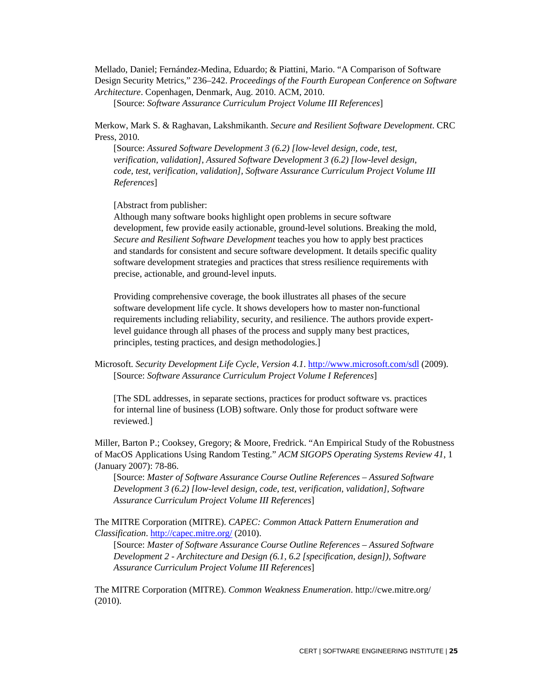Mellado, Daniel; Fernández-Medina, Eduardo; & Piattini, Mario. "A Comparison of Software Design Security Metrics," 236–242. *Proceedings of the Fourth European Conference on Software Architecture*. Copenhagen, Denmark, Aug. 2010. ACM, 2010.

[Source: *Software Assurance Curriculum Project Volume III References*]

Merkow, Mark S. & Raghavan, Lakshmikanth. *Secure and Resilient Software Development*. CRC Press, 2010.

[Source: *Assured Software Development 3 (6.2) [low-level design, code, test, verification, validation]*, *Assured Software Development 3 (6.2) [low-level design, code, test, verification, validation], Software Assurance Curriculum Project Volume III References*]

[Abstract from publisher:

Although many software books highlight open problems in secure software development, few provide easily actionable, ground-level solutions. Breaking the mold, *Secure and Resilient Software Development* teaches you how to apply best practices and standards for consistent and secure software development. It details specific quality software development strategies and practices that stress resilience requirements with precise, actionable, and ground-level inputs.

Providing comprehensive coverage, the book illustrates all phases of the secure software development life cycle. It shows developers how to master non-functional requirements including reliability, security, and resilience. The authors provide expertlevel guidance through all phases of the process and supply many best practices, principles, testing practices, and design methodologies.]

[The SDL addresses, in separate sections, practices for product software vs. practices for internal line of business (LOB) software. Only those for product software were reviewed.]

Miller, Barton P.; Cooksey, Gregory; & Moore, Fredrick. "An Empirical Study of the Robustness of MacOS Applications Using Random Testing." *ACM SIGOPS Operating Systems Review 41*, 1 (January 2007): 78-86.

[Source: *Master of Software Assurance Course Outline References – Assured Software Development 3 (6.2) [low-level design, code, test, verification, validation], Software Assurance Curriculum Project Volume III References*]

The MITRE Corporation (MITRE). *CAPEC: Common Attack Pattern Enumeration and Classification*.<http://capec.mitre.org/> (2010).

[Source: *Master of Software Assurance Course Outline References – Assured Software Development 2 - Architecture and Design (6.1, 6.2 [specification, design]), Software Assurance Curriculum Project Volume III References*]

The MITRE Corporation (MITRE). *Common Weakness Enumeration*. http://cwe.mitre.org/ (2010).

Microsoft. *Security Development Life Cycle, Version 4.1*.<http://www.microsoft.com/sdl> (2009). [Source: *Software Assurance Curriculum Project Volume I References*]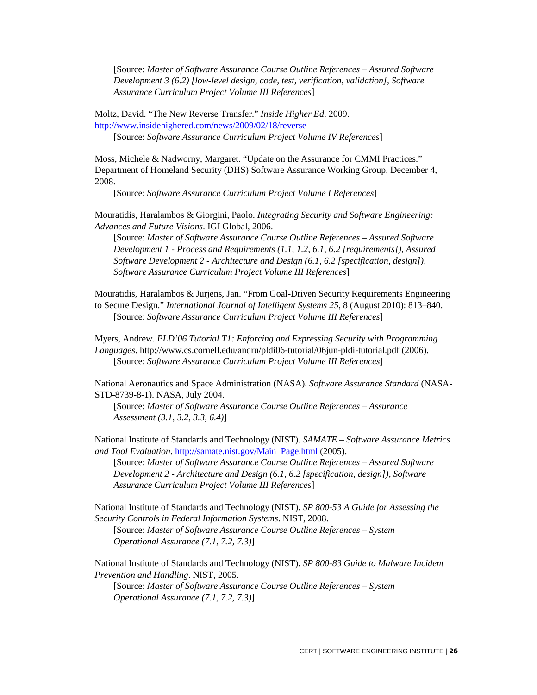[Source: *Master of Software Assurance Course Outline References – Assured Software Development 3 (6.2) [low-level design, code, test, verification, validation], Software Assurance Curriculum Project Volume III References*]

Moltz, David. "The New Reverse Transfer." *Inside Higher Ed*. 2009. <http://www.insidehighered.com/news/2009/02/18/reverse>

[Source: *Software Assurance Curriculum Project Volume IV References*]

Moss, Michele & Nadworny, Margaret. "Update on the Assurance for CMMI Practices." Department of Homeland Security (DHS) Software Assurance Working Group, December 4, 2008.

[Source: *Software Assurance Curriculum Project Volume I References*]

Mouratidis, Haralambos & Giorgini, Paolo. *Integrating Security and Software Engineering: Advances and Future Visions*. IGI Global, 2006.

[Source: *Master of Software Assurance Course Outline References – Assured Software Development 1 - Process and Requirements (1.1, 1.2, 6.1, 6.2 [requirements])*, *Assured Software Development 2 - Architecture and Design (6.1, 6.2 [specification, design]), Software Assurance Curriculum Project Volume III References*]

Mouratidis, Haralambos & Jurjens, Jan. "From Goal-Driven Security Requirements Engineering to Secure Design." *International Journal of Intelligent Systems 25*, 8 (August 2010): 813–840. [Source: *Software Assurance Curriculum Project Volume III References*]

Myers, Andrew. *PLD'06 Tutorial T1: Enforcing and Expressing Security with Programming Languages*. http://www.cs.cornell.edu/andru/pldi06-tutorial/06jun-pldi-tutorial.pdf (2006). [Source: *Software Assurance Curriculum Project Volume III References*]

National Aeronautics and Space Administration (NASA). *Software Assurance Standard* (NASA-STD-8739-8-1). NASA, July 2004.

[Source: *Master of Software Assurance Course Outline References – Assurance Assessment (3.1, 3.2, 3.3, 6.4)*]

National Institute of Standards and Technology (NIST). *SAMATE – Software Assurance Metrics and Tool Evaluation*. [http://samate.nist.gov/Main\\_Page.html](http://samate.nist.gov/Main_Page.html) (2005).

[Source: *Master of Software Assurance Course Outline References – Assured Software Development 2 - Architecture and Design (6.1, 6.2 [specification, design]), Software Assurance Curriculum Project Volume III References*]

National Institute of Standards and Technology (NIST). *SP 800-53 A Guide for Assessing the Security Controls in Federal Information Systems*. NIST, 2008.

[Source: *Master of Software Assurance Course Outline References – System Operational Assurance (7.1, 7.2, 7.3)*]

National Institute of Standards and Technology (NIST). *SP 800-83 Guide to Malware Incident Prevention and Handling*. NIST, 2005.

[Source: *Master of Software Assurance Course Outline References – System Operational Assurance (7.1, 7.2, 7.3)*]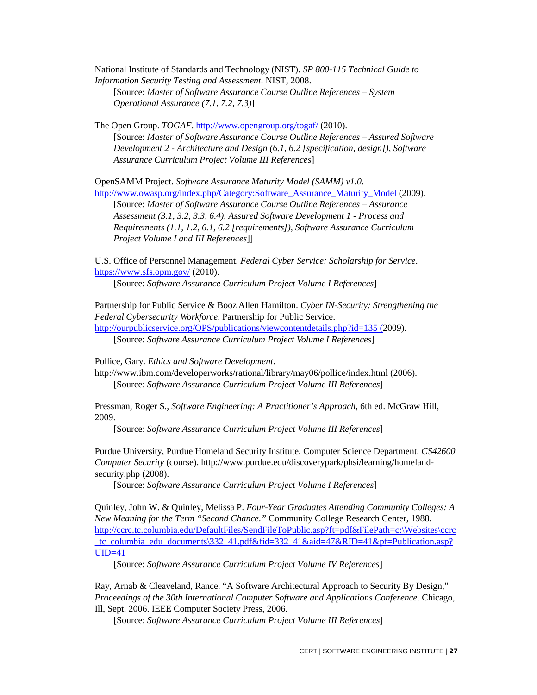National Institute of Standards and Technology (NIST). *SP 800-115 Technical Guide to Information Security Testing and Assessment*. NIST, 2008.

[Source: *Master of Software Assurance Course Outline References – System Operational Assurance (7.1, 7.2, 7.3)*]

The Open Group. *TOGAF*[. http://www.opengroup.org/togaf/](http://www.opengroup.org/togaf/) (2010). [Source: *Master of Software Assurance Course Outline References – Assured Software Development 2 - Architecture and Design (6.1, 6.2 [specification, design]), Software Assurance Curriculum Project Volume III References*]

OpenSAMM Project. *Software Assurance Maturity Model (SAMM) v1.0*. [http://www.owasp.org/index.php/Category:Software\\_Assurance\\_Maturity\\_Model](http://www.owasp.org/index.php/Category:Software_Assurance_Maturity_Model) (2009).

[Source: *Master of Software Assurance Course Outline References – Assurance Assessment (3.1, 3.2, 3.3, 6.4)*, *Assured Software Development 1 - Process and Requirements (1.1, 1.2, 6.1, 6.2 [requirements]), Software Assurance Curriculum Project Volume I and III References*]]

U.S. Office of Personnel Management. *Federal Cyber Service: Scholarship for Service*. <https://www.sfs.opm.gov/> (2010).

[Source: *Software Assurance Curriculum Project Volume I References*]

Partnership for Public Service & Booz Allen Hamilton. *Cyber IN-Security: Strengthening the Federal Cybersecurity Workforce*. Partnership for Public Service. [http://ourpublicservice.org/OPS/publications/viewcontentdetails.php?id=135 \(2](http://ourpublicservice.org/OPS/publications/viewcontentdetails.php?id=135%20()009).

[Source: *Software Assurance Curriculum Project Volume I References*]

Pollice, Gary. *Ethics and Software Development*.

http://www.ibm.com/developerworks/rational/library/may06/pollice/index.html (2006). [Source: *Software Assurance Curriculum Project Volume III References*]

Pressman, Roger S., *Software Engineering: A Practitioner's Approach*, 6th ed. McGraw Hill, 2009.

[Source: *Software Assurance Curriculum Project Volume III References*]

Purdue University, Purdue Homeland Security Institute, Computer Science Department. *CS42600 Computer Security* (course). http://www.purdue.edu/discoverypark/phsi/learning/homelandsecurity.php (2008).

[Source: *Software Assurance Curriculum Project Volume I References*]

Quinley, John W. & Quinley, Melissa P. *Four-Year Graduates Attending Community Colleges: A New Meaning for the Term "Second Chance."* Community College Research Center, 1988. [http://ccrc.tc.columbia.edu/DefaultFiles/SendFileToPublic.asp?ft=pdf&FilePath=c:\Websites\ccrc](http://ccrc.tc.columbia.edu/DefaultFiles/SendFileToPublic.asp?ft=pdf&FilePath=c:\Websites\ccrc_tc_columbia_edu_documents\332_41.pdf&fid=332_41&aid=47&RID=41&pf=Publication.asp?UID=41) tc\_columbia\_edu\_documents\332\_41.pdf&fid=332\_41&aid=47&RID=41&pf=Publication.asp?  $UID=41$ 

[Source: *Software Assurance Curriculum Project Volume IV References*]

Ray, Arnab & Cleaveland, Rance. "A Software Architectural Approach to Security By Design," *Proceedings of the 30th International Computer Software and Applications Conference*. Chicago, Ill, Sept. 2006. IEEE Computer Society Press, 2006.

[Source: *Software Assurance Curriculum Project Volume III References*]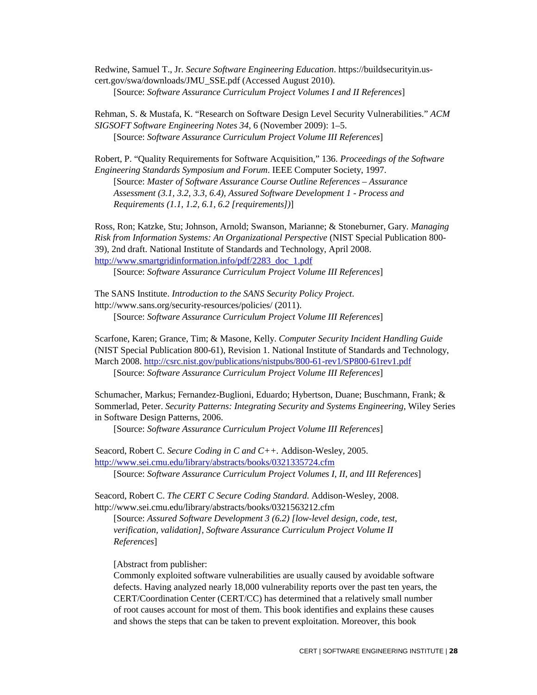Redwine, Samuel T., Jr. *Secure Software Engineering Education*. https://buildsecurityin.uscert.gov/swa/downloads/JMU\_SSE.pdf (Accessed August 2010). [Source: *Software Assurance Curriculum Project Volumes I and II References*]

Rehman, S. & Mustafa, K. "Research on Software Design Level Security Vulnerabilities." *ACM SIGSOFT Software Engineering Notes 34*, 6 (November 2009): 1–5. [Source: *Software Assurance Curriculum Project Volume III References*]

Robert, P. "Quality Requirements for Software Acquisition," 136. *Proceedings of the Software Engineering Standards Symposium and Forum*. IEEE Computer Society, 1997. [Source: *Master of Software Assurance Course Outline References – Assurance Assessment (3.1, 3.2, 3.3, 6.4)*, *Assured Software Development 1 - Process and Requirements (1.1, 1.2, 6.1, 6.2 [requirements])*]

Ross, Ron; Katzke, Stu; Johnson, Arnold; Swanson, Marianne; & Stoneburner, Gary. *Managing Risk from Information Systems: An Organizational Perspective* (NIST Special Publication 800- 39), 2nd draft. National Institute of Standards and Technology, April 2008. [http://www.smartgridinformation.info/pdf/2283\\_doc\\_1.pdf](http://www.smartgridinformation.info/pdf/2283_doc_1.pdf)

[Source: *Software Assurance Curriculum Project Volume III References*]

The SANS Institute. *Introduction to the SANS Security Policy Project*. http://www.sans.org/security-resources/policies/ (2011).

[Source: *Software Assurance Curriculum Project Volume III References*]

Scarfone, Karen; Grance, Tim; & Masone, Kelly. *Computer Security Incident Handling Guide* (NIST Special Publication 800-61), Revision 1. National Institute of Standards and Technology, March 2008.<http://csrc.nist.gov/publications/nistpubs/800-61-rev1/SP800-61rev1.pdf> [Source: *Software Assurance Curriculum Project Volume III References*]

Schumacher, Markus; Fernandez-Buglioni, Eduardo; Hybertson, Duane; Buschmann, Frank; & Sommerlad, Peter. *Security Patterns: Integrating Security and Systems Engineering*, Wiley Series in Software Design Patterns, 2006.

[Source: *Software Assurance Curriculum Project Volume III References*]

Seacord, Robert C. *Secure Coding in C and C++.* Addison-Wesley, 2005. <http://www.sei.cmu.edu/library/abstracts/books/0321335724.cfm>

[Source: *Software Assurance Curriculum Project Volumes I, II, and III References*]

Seacord, Robert C. *The CERT C Secure Coding Standard*. Addison-Wesley, 2008. http://www.sei.cmu.edu/library/abstracts/books/0321563212.cfm

[Source: *Assured Software Development 3 (6.2) [low-level design, code, test, verification, validation], Software Assurance Curriculum Project Volume II References*]

[Abstract from publisher:

Commonly exploited software vulnerabilities are usually caused by avoidable software defects. Having analyzed nearly 18,000 vulnerability reports over the past ten years, the CERT/Coordination Center (CERT/CC) has determined that a relatively small number of root causes account for most of them. This book identifies and explains these causes and shows the steps that can be taken to prevent exploitation. Moreover, this book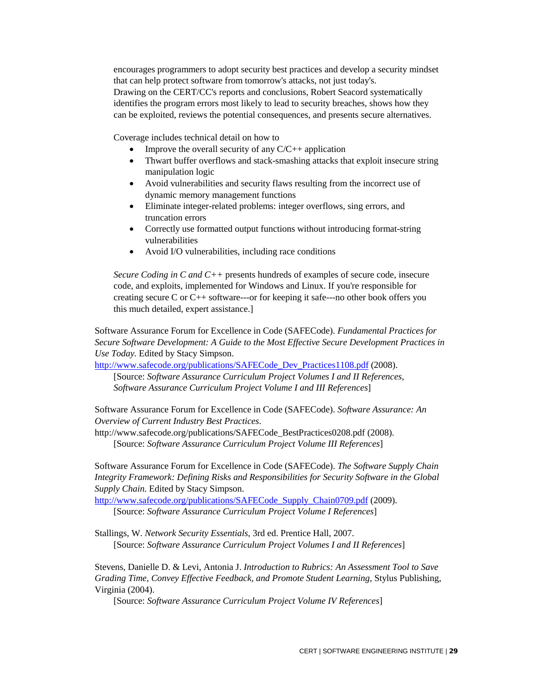encourages programmers to adopt security best practices and develop a security mindset that can help protect software from tomorrow's attacks, not just today's. Drawing on the CERT/CC's reports and conclusions, Robert Seacord systematically identifies the program errors most likely to lead to security breaches, shows how they can be exploited, reviews the potential consequences, and presents secure alternatives.

Coverage includes technical detail on how to

- Improve the overall security of any  $C/C++$  application
- Thwart buffer overflows and stack-smashing attacks that exploit insecure string manipulation logic
- Avoid vulnerabilities and security flaws resulting from the incorrect use of dynamic memory management functions
- Eliminate integer-related problems: integer overflows, sing errors, and truncation errors
- Correctly use formatted output functions without introducing format-string vulnerabilities
- Avoid I/O vulnerabilities, including race conditions

*Secure Coding in C and C++* presents hundreds of examples of secure code, insecure code, and exploits, implemented for Windows and Linux. If you're responsible for creating secure C or C++ software---or for keeping it safe---no other book offers you this much detailed, expert assistance.]

Software Assurance Forum for Excellence in Code (SAFECode). *Fundamental Practices for Secure Software Development: A Guide to the Most Effective Secure Development Practices in Use Today.* Edited by Stacy Simpson.

[http://www.safecode.org/publications/SAFECode\\_Dev\\_Practices1108.pdf](http://www.safecode.org/publications/SAFECode_Dev_Practices1108.pdf) (2008).

[Source: *Software Assurance Curriculum Project Volumes I and II References, Software Assurance Curriculum Project Volume I and III References*]

Software Assurance Forum for Excellence in Code (SAFECode). *Software Assurance: An Overview of Current Industry Best Practices*.

http://www.safecode.org/publications/SAFECode\_BestPractices0208.pdf (2008). [Source: *Software Assurance Curriculum Project Volume III References*]

Software Assurance Forum for Excellence in Code (SAFECode). *The Software Supply Chain Integrity Framework: Defining Risks and Responsibilities for Security Software in the Global Supply Chain.* Edited by Stacy Simpson.

[http://www.safecode.org/publications/SAFECode\\_Supply\\_Chain0709.pdf](http://www.safecode.org/publications/SAFECode_Supply_Chain0709.pdf) (2009).

[Source: *Software Assurance Curriculum Project Volume I References*]

Stallings, W. *Network Security Essentials*, 3rd ed. Prentice Hall, 2007. [Source: *Software Assurance Curriculum Project Volumes I and II References*]

Stevens, Danielle D. & Levi, Antonia J. *Introduction to Rubrics: An Assessment Tool to Save Grading Time, Convey Effective Feedback, and Promote Student Learning*, Stylus Publishing, Virginia (2004).

[Source: *Software Assurance Curriculum Project Volume IV References*]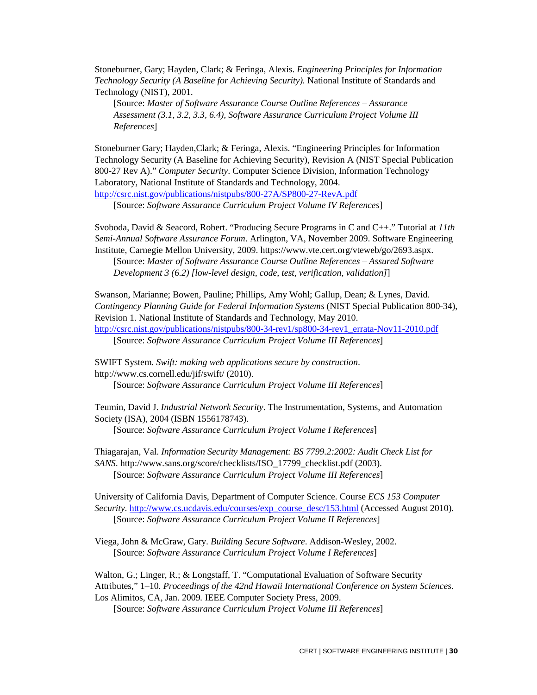Stoneburner, Gary; Hayden, Clark; & Feringa, Alexis. *Engineering Principles for Information Technology Security (A Baseline for Achieving Security).* National Institute of Standards and Technology (NIST), 2001.

[Source: *Master of Software Assurance Course Outline References – Assurance Assessment (3.1, 3.2, 3.3, 6.4), Software Assurance Curriculum Project Volume III References*]

Stoneburner Gary; Hayden,Clark; & Feringa, Alexis. "Engineering Principles for Information Technology Security (A Baseline for Achieving Security), Revision A (NIST Special Publication 800-27 Rev A)." *Computer Security*. Computer Science Division, Information Technology Laboratory, National Institute of Standards and Technology, 2004. <http://csrc.nist.gov/publications/nistpubs/800-27A/SP800-27-RevA.pdf>

[Source: *Software Assurance Curriculum Project Volume IV References*]

Svoboda, David & Seacord, Robert. "Producing Secure Programs in C and C++." Tutorial at *11th Semi-Annual Software Assurance Forum*. Arlington, VA, November 2009. Software Engineering Institute, Carnegie Mellon University, 2009. https://www.vte.cert.org/vteweb/go/2693.aspx. [Source: *Master of Software Assurance Course Outline References – Assured Software* 

*Development 3 (6.2) [low-level design, code, test, verification, validation]*]

Swanson, Marianne; Bowen, Pauline; Phillips, Amy Wohl; Gallup, Dean; & Lynes, David. *Contingency Planning Guide for Federal Information Systems* (NIST Special Publication 800-34), Revision 1. National Institute of Standards and Technology, May 2010. [http://csrc.nist.gov/publications/nistpubs/800-34-rev1/sp800-34-rev1\\_errata-Nov11-2010.pdf](http://csrc.nist.gov/publications/nistpubs/800-34-rev1/sp800-34-rev1_errata-Nov11-2010.pdf)

[Source: *Software Assurance Curriculum Project Volume III References*]

SWIFT System. *Swift: making web applications secure by construction*. http://www.cs.cornell.edu/jif/swift/ (2010).

[Source: *Software Assurance Curriculum Project Volume III References*]

Teumin, David J. *Industrial Network Security*. The Instrumentation, Systems, and Automation Society (ISA), 2004 (ISBN 1556178743).

[Source: *Software Assurance Curriculum Project Volume I References*]

Thiagarajan, Val. *Information Security Management: BS 7799.2:2002: Audit Check List for SANS*. http://www.sans.org/score/checklists/ISO\_17799\_checklist.pdf (2003). [Source: *Software Assurance Curriculum Project Volume III References*]

University of California Davis, Department of Computer Science. Course *ECS 153 Computer Security*[. http://www.cs.ucdavis.edu/courses/exp\\_course\\_desc/153.html](http://www.cs.ucdavis.edu/courses/exp_course_desc/153.html) (Accessed August 2010). [Source: *Software Assurance Curriculum Project Volume II References*]

Viega, John & McGraw, Gary. *Building Secure Software*. Addison-Wesley, 2002. [Source: *Software Assurance Curriculum Project Volume I References*]

Walton, G.; Linger, R.; & Longstaff, T. "Computational Evaluation of Software Security Attributes," 1–10. *Proceedings of the 42nd Hawaii International Conference on System Sciences*. Los Alimitos, CA, Jan. 2009*.* IEEE Computer Society Press, 2009.

[Source: *Software Assurance Curriculum Project Volume III References*]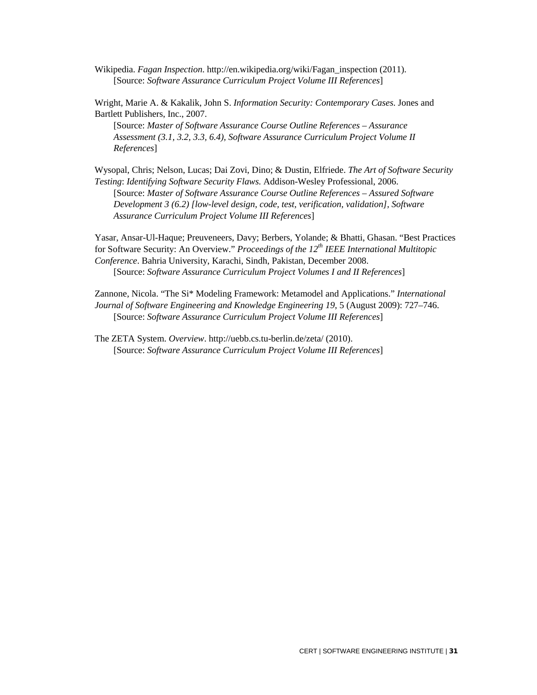Wikipedia. *Fagan Inspection*. http://en.wikipedia.org/wiki/Fagan\_inspection (2011). [Source: *Software Assurance Curriculum Project Volume III References*]

Wright, Marie A. & Kakalik, John S. *Information Security: Contemporary Cases*. Jones and Bartlett Publishers, Inc., 2007.

[Source: *Master of Software Assurance Course Outline References – Assurance Assessment (3.1, 3.2, 3.3, 6.4), Software Assurance Curriculum Project Volume II References*]

Wysopal, Chris; Nelson, Lucas; Dai Zovi, Dino; & Dustin, Elfriede. *The Art of Software Security Testing*: *Identifying Software Security Flaws.* Addison-Wesley Professional, 2006. [Source: *Master of Software Assurance Course Outline References – Assured Software Development 3 (6.2) [low-level design, code, test, verification, validation], Software Assurance Curriculum Project Volume III References*]

Yasar, Ansar-Ul-Haque; Preuveneers, Davy; Berbers, Yolande; & Bhatti, Ghasan. "Best Practices for Software Security: An Overview." *Proceedings of the 12th IEEE International Multitopic Conference*. Bahria University, Karachi, Sindh, Pakistan, December 2008. [Source: *Software Assurance Curriculum Project Volumes I and II References*]

Zannone, Nicola. "The Si\* Modeling Framework: Metamodel and Applications." *International Journal of Software Engineering and Knowledge Engineering 19*, 5 (August 2009): 727–746. [Source: *Software Assurance Curriculum Project Volume III References*]

The ZETA System. *Overview*. http://uebb.cs.tu-berlin.de/zeta/ (2010). [Source: *Software Assurance Curriculum Project Volume III References*]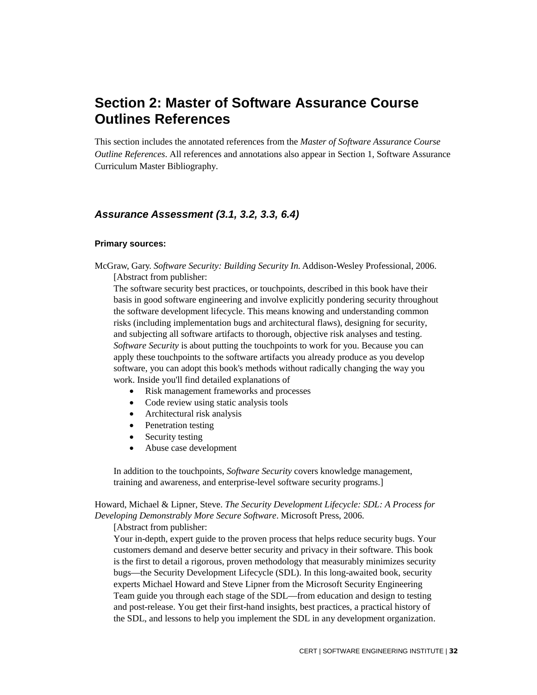## <span id="page-33-0"></span>**Section 2: Master of Software Assurance Course Outlines References**

<span id="page-33-1"></span>This section includes the annotated references from the *Master of Software Assurance Course Outline References*. All references and annotations also appear in Section 1, Software Assurance Curriculum Master Bibliography.

## *Assurance Assessment (3.1, 3.2, 3.3, 6.4)*

#### **Primary sources:**

McGraw, Gary. *Software Security: Building Security In.* Addison-Wesley Professional, 2006. [Abstract from publisher:

The software security best practices, or touchpoints, described in this book have their basis in good software engineering and involve explicitly pondering security throughout the software development lifecycle. This means knowing and understanding common risks (including implementation bugs and architectural flaws), designing for security, and subjecting all software artifacts to thorough, objective risk analyses and testing. *Software Security* is about putting the touchpoints to work for you. Because you can apply these touchpoints to the software artifacts you already produce as you develop software, you can adopt this book's methods without radically changing the way you work. Inside you'll find detailed explanations of

- Risk management frameworks and processes
- Code review using static analysis tools
- Architectural risk analysis
- Penetration testing
- Security testing
- Abuse case development

In addition to the touchpoints, *Software Security* covers knowledge management, training and awareness, and enterprise-level software security programs.]

## Howard, Michael & Lipner, Steve. *The Security Development Lifecycle: SDL: A Process for Developing Demonstrably More Secure Software*. Microsoft Press, 2006.

[Abstract from publisher:

Your in-depth, expert guide to the proven process that helps reduce security bugs. Your customers demand and deserve better security and privacy in their software. This book is the first to detail a rigorous, proven methodology that measurably minimizes security bugs—the Security Development Lifecycle (SDL). In this long-awaited book, security experts Michael Howard and Steve Lipner from the Microsoft Security Engineering Team guide you through each stage of the SDL—from education and design to testing and post-release. You get their first-hand insights, best practices, a practical history of the SDL, and lessons to help you implement the SDL in any development organization.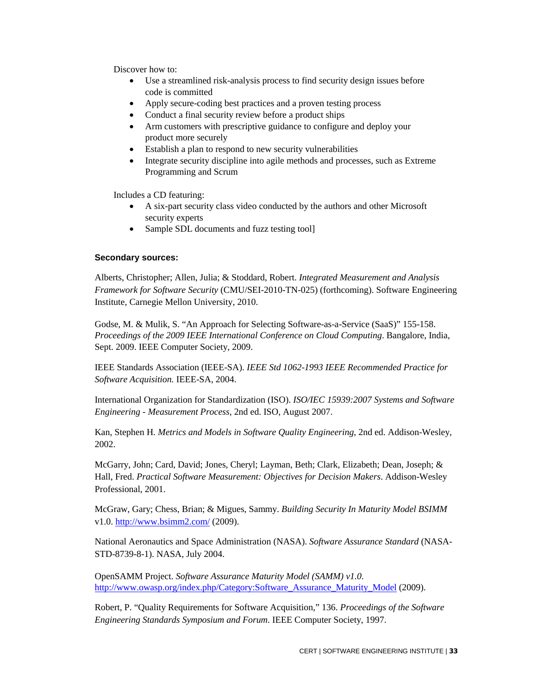Discover how to:

- Use a streamlined risk-analysis process to find security design issues before code is committed
- Apply secure-coding best practices and a proven testing process
- Conduct a final security review before a product ships
- Arm customers with prescriptive guidance to configure and deploy your product more securely
- Establish a plan to respond to new security vulnerabilities
- Integrate security discipline into agile methods and processes, such as Extreme Programming and Scrum

Includes a CD featuring:

- A six-part security class video conducted by the authors and other Microsoft security experts
- Sample SDL documents and fuzz testing tool

## **Secondary sources:**

Alberts, Christopher; Allen, Julia; & Stoddard, Robert. *Integrated Measurement and Analysis Framework for Software Security* (CMU/SEI-2010-TN-025) (forthcoming). Software Engineering Institute, Carnegie Mellon University, 2010.

Godse, M. & Mulik, S. "An Approach for Selecting Software-as-a-Service (SaaS)" 155-158. *Proceedings of the 2009 IEEE International Conference on Cloud Computing*. Bangalore, India, Sept. 2009. IEEE Computer Society, 2009.

IEEE Standards Association (IEEE-SA). *IEEE Std 1062-1993 IEEE Recommended Practice for Software Acquisition.* IEEE-SA, 2004.

International Organization for Standardization (ISO). *ISO/IEC 15939:2007 Systems and Software Engineering - Measurement Process,* 2nd ed. ISO, August 2007.

Kan, Stephen H. *Metrics and Models in Software Quality Engineering*, 2nd ed. Addison-Wesley, 2002.

McGarry, John; Card, David; Jones, Cheryl; Layman, Beth; Clark, Elizabeth; Dean, Joseph; & Hall, Fred. *Practical Software Measurement: Objectives for Decision Makers*. Addison-Wesley Professional, 2001.

McGraw, Gary; Chess, Brian; & Migues, Sammy. *Building Security In Maturity Model BSIMM* v1.0[. http://www.bsimm2.com/](http://www.bsimm2.com/) (2009).

National Aeronautics and Space Administration (NASA). *Software Assurance Standard* (NASA-STD-8739-8-1). NASA, July 2004.

OpenSAMM Project. *Software Assurance Maturity Model (SAMM) v1.0*. [http://www.owasp.org/index.php/Category:Software\\_Assurance\\_Maturity\\_Model](http://www.owasp.org/index.php/Category:Software_Assurance_Maturity_Model) (2009).

Robert, P. "Quality Requirements for Software Acquisition," 136. *Proceedings of the Software Engineering Standards Symposium and Forum*. IEEE Computer Society, 1997.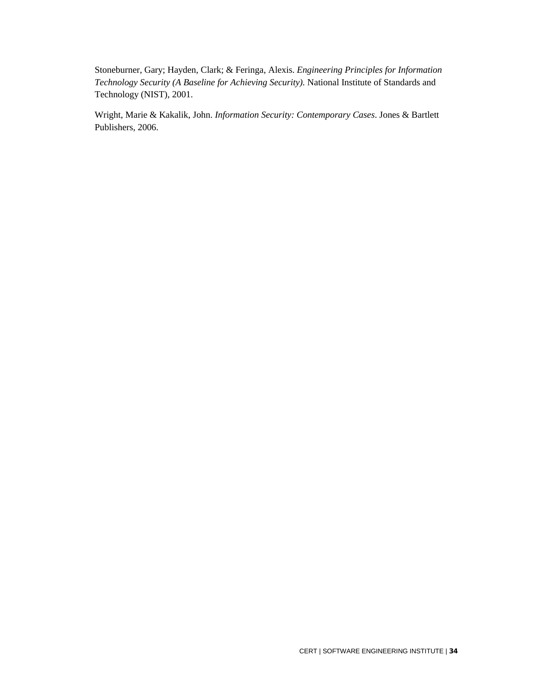Stoneburner, Gary; Hayden, Clark; & Feringa, Alexis. *Engineering Principles for Information Technology Security (A Baseline for Achieving Security).* National Institute of Standards and Technology (NIST), 2001.

Wright, Marie & Kakalik, John. *Information Security: Contemporary Cases*. Jones & Bartlett Publishers, 2006.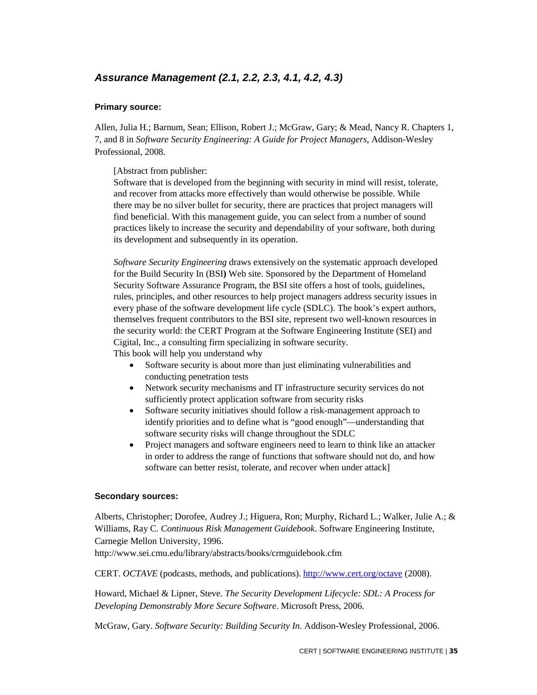## <span id="page-36-0"></span>*Assurance Management (2.1, 2.2, 2.3, 4.1, 4.2, 4.3)*

## **Primary source:**

Allen, Julia H.; Barnum, Sean; Ellison, Robert J.; McGraw, Gary; & Mead, Nancy R. Chapters 1, 7, and 8 in *Software Security Engineering: A Guide for Project Managers,* Addison-Wesley Professional, 2008.

## [Abstract from publisher:

Software that is developed from the beginning with security in mind will resist, tolerate, and recover from attacks more effectively than would otherwise be possible. While there may be no silver bullet for security, there are practices that project managers will find beneficial. With this management guide, you can select from a number of sound practices likely to increase the security and dependability of your software, both during its development and subsequently in its operation.

*Software Security Engineering* draws extensively on the systematic approach developed for the Build Security In (BSI**)** Web site. Sponsored by the Department of Homeland Security Software Assurance Program, the BSI site offers a host of tools, guidelines, rules, principles, and other resources to help project managers address security issues in every phase of the software development life cycle (SDLC). The book's expert authors, themselves frequent contributors to the BSI site, represent two well-known resources in the security world: the CERT Program at the Software Engineering Institute (SEI) and Cigital, Inc., a consulting firm specializing in software security.

This book will help you understand why

- Software security is about more than just eliminating vulnerabilities and conducting penetration tests
- Network security mechanisms and IT infrastructure security services do not sufficiently protect application software from security risks
- Software security initiatives should follow a risk-management approach to identify priorities and to define what is "good enough"—understanding that software security risks will change throughout the SDLC
- Project managers and software engineers need to learn to think like an attacker in order to address the range of functions that software should not do, and how software can better resist, tolerate, and recover when under attack]

## **Secondary sources:**

Alberts, Christopher; Dorofee, Audrey J.; Higuera, Ron; Murphy, Richard L.; Walker, Julie A.; & Williams, Ray C. *Continuous Risk Management Guidebook*. Software Engineering Institute, Carnegie Mellon University, 1996.

http://www.sei.cmu.edu/library/abstracts/books/crmguidebook.cfm

CERT. *OCTAVE* (podcasts, methods, and publications).<http://www.cert.org/octave> (2008).

Howard, Michael & Lipner, Steve. *The Security Development Lifecycle: SDL: A Process for Developing Demonstrably More Secure Software*. Microsoft Press, 2006.

McGraw, Gary. *Software Security: Building Security In*. Addison-Wesley Professional, 2006.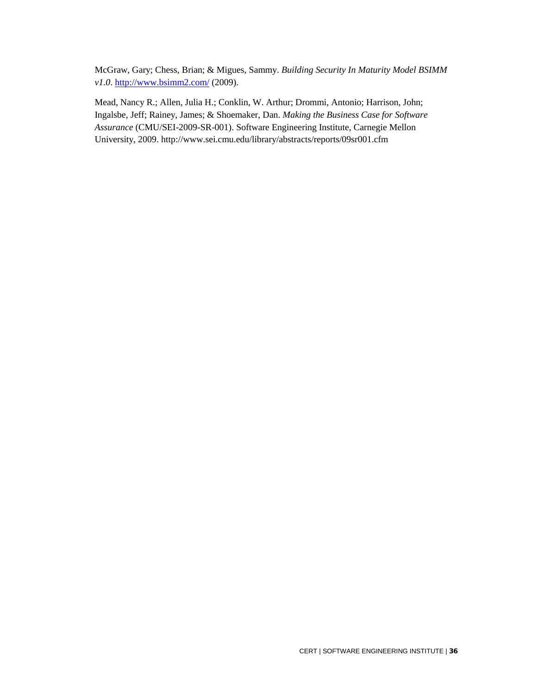McGraw, Gary; Chess, Brian; & Migues, Sammy. *Building Security In Maturity Model BSIMM v1.0.*<http://www.bsimm2.com/> (2009).

Mead, Nancy R.; Allen, Julia H.; Conklin, W. Arthur; Drommi, Antonio; Harrison, John; Ingalsbe, Jeff; Rainey, James; & Shoemaker, Dan. *Making the Business Case for Software Assurance* (CMU/SEI-2009-SR-001). Software Engineering Institute, Carnegie Mellon University, 2009. http://www.sei.cmu.edu/library/abstracts/reports/09sr001.cfm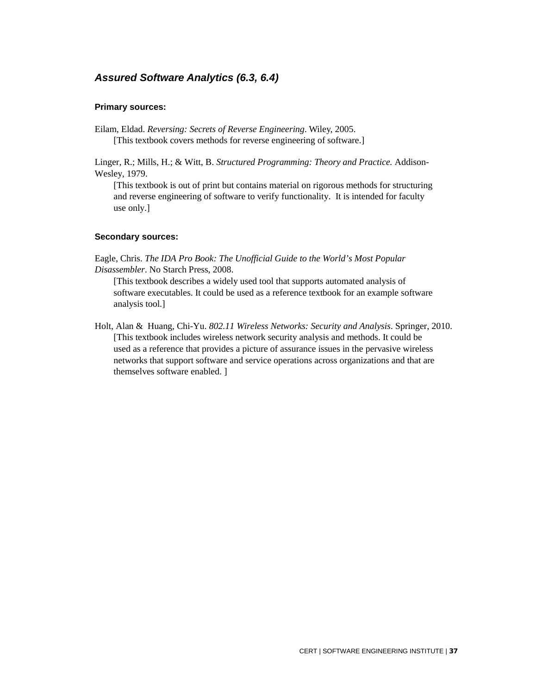## <span id="page-38-0"></span>*Assured Software Analytics (6.3, 6.4)*

## **Primary sources:**

Eilam, Eldad. *Reversing: Secrets of Reverse Engineering*. Wiley, 2005. [This textbook covers methods for reverse engineering of software.]

Linger, R.; Mills, H.; & Witt, B. *Structured Programming: Theory and Practice.* Addison-Wesley, 1979.

[This textbook is out of print but contains material on rigorous methods for structuring and reverse engineering of software to verify functionality. It is intended for faculty use only.]

### **Secondary sources:**

Eagle, Chris. *The IDA Pro Book: The Unofficial Guide to the World's Most Popular Disassembler*. No Starch Press, 2008.

[This textbook describes a widely used tool that supports automated analysis of software executables. It could be used as a reference textbook for an example software analysis tool.]

Holt, Alan & Huang, Chi-Yu. *802.11 Wireless Networks: Security and Analysis*. Springer, 2010. [This textbook includes wireless network security analysis and methods. It could be used as a reference that provides a picture of assurance issues in the pervasive wireless networks that support software and service operations across organizations and that are themselves software enabled. ]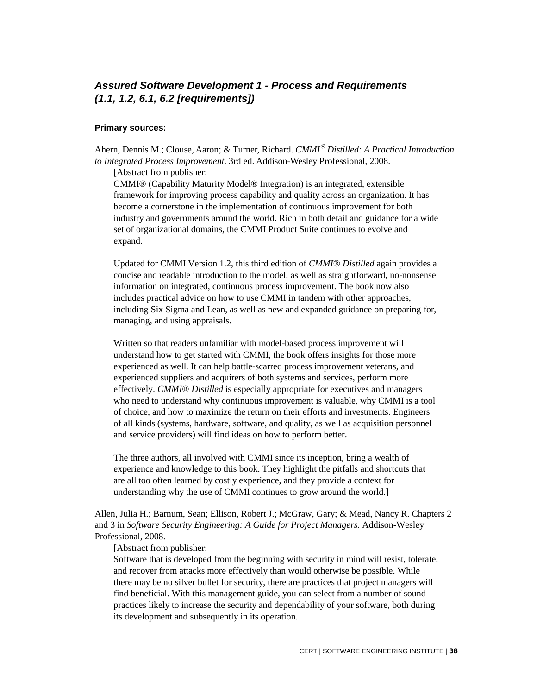## <span id="page-39-0"></span>*Assured Software Development 1 - Process and Requirements (1.1, 1.2, 6.1, 6.2 [requirements])*

### **Primary sources:**

Ahern, Dennis M.; Clouse, Aaron; & Turner, Richard. *CMMI Distilled: A Practical Introduction to Integrated Process Improvement*. 3rd ed. Addison-Wesley Professional, 2008.

[Abstract from publisher:

CMMI® (Capability Maturity Model® Integration) is an integrated, extensible framework for improving process capability and quality across an organization. It has become a cornerstone in the implementation of continuous improvement for both industry and governments around the world. Rich in both detail and guidance for a wide set of organizational domains, the CMMI Product Suite continues to evolve and expand.

Updated for CMMI Version 1.2, this third edition of *CMMI® Distilled* again provides a concise and readable introduction to the model, as well as straightforward, no-nonsense information on integrated, continuous process improvement. The book now also includes practical advice on how to use CMMI in tandem with other approaches, including Six Sigma and Lean, as well as new and expanded guidance on preparing for, managing, and using appraisals.

Written so that readers unfamiliar with model-based process improvement will understand how to get started with CMMI, the book offers insights for those more experienced as well. It can help battle-scarred process improvement veterans, and experienced suppliers and acquirers of both systems and services, perform more effectively. *CMMI® Distilled* is especially appropriate for executives and managers who need to understand why continuous improvement is valuable, why CMMI is a tool of choice, and how to maximize the return on their efforts and investments. Engineers of all kinds (systems, hardware, software, and quality, as well as acquisition personnel and service providers) will find ideas on how to perform better.

The three authors, all involved with CMMI since its inception, bring a wealth of experience and knowledge to this book. They highlight the pitfalls and shortcuts that are all too often learned by costly experience, and they provide a context for understanding why the use of CMMI continues to grow around the world.]

Allen, Julia H.; Barnum, Sean; Ellison, Robert J.; McGraw, Gary; & Mead, Nancy R. Chapters 2 and 3 in *Software Security Engineering: A Guide for Project Managers.* Addison-Wesley Professional, 2008.

#### [Abstract from publisher:

Software that is developed from the beginning with security in mind will resist, tolerate, and recover from attacks more effectively than would otherwise be possible. While there may be no silver bullet for security, there are practices that project managers will find beneficial. With this management guide, you can select from a number of sound practices likely to increase the security and dependability of your software, both during its development and subsequently in its operation.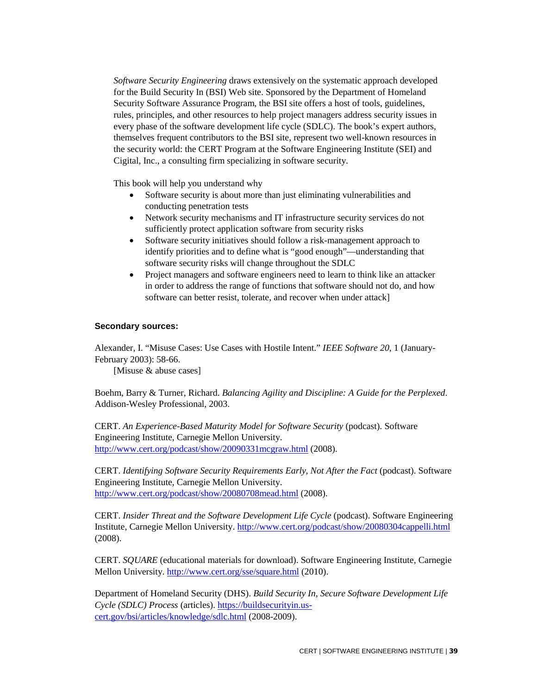*Software Security Engineering* draws extensively on the systematic approach developed for the Build Security In (BSI) Web site. Sponsored by the Department of Homeland Security Software Assurance Program, the BSI site offers a host of tools, guidelines, rules, principles, and other resources to help project managers address security issues in every phase of the software development life cycle (SDLC). The book's expert authors, themselves frequent contributors to the BSI site, represent two well-known resources in the security world: the CERT Program at the Software Engineering Institute (SEI) and Cigital, Inc., a consulting firm specializing in software security.

This book will help you understand why

- Software security is about more than just eliminating vulnerabilities and conducting penetration tests
- Network security mechanisms and IT infrastructure security services do not sufficiently protect application software from security risks
- Software security initiatives should follow a risk-management approach to identify priorities and to define what is "good enough"—understanding that software security risks will change throughout the SDLC
- Project managers and software engineers need to learn to think like an attacker in order to address the range of functions that software should not do, and how software can better resist, tolerate, and recover when under attack]

#### **Secondary sources:**

Alexander, I. "Misuse Cases: Use Cases with Hostile Intent." *IEEE Software 20*, 1 (January-February 2003): 58-66.

[Misuse & abuse cases]

Boehm, Barry & Turner, Richard. *Balancing Agility and Discipline: A Guide for the Perplexed*. Addison-Wesley Professional, 2003.

CERT. *An Experience-Based Maturity Model for Software Security* (podcast). Software Engineering Institute, Carnegie Mellon University. <http://www.cert.org/podcast/show/20090331mcgraw.html> (2008).

CERT. *Identifying Software Security Requirements Early, Not After the Fact* (podcast). Software Engineering Institute, Carnegie Mellon University. <http://www.cert.org/podcast/show/20080708mead.html> (2008).

CERT. *Insider Threat and the Software Development Life Cycle* (podcast). Software Engineering Institute, Carnegie Mellon University.<http://www.cert.org/podcast/show/20080304cappelli.html> (2008).

CERT. *SQUARE* (educational materials for download). Software Engineering Institute, Carnegie Mellon University.<http://www.cert.org/sse/square.html> (2010).

Department of Homeland Security (DHS). *Build Security In, Secure Software Development Life Cycle (SDLC) Process* (articles). [https://buildsecurityin.us](https://buildsecurityin.us-cert.gov/bsi/articles/knowledge/sdlc.html)[cert.gov/bsi/articles/knowledge/sdlc.html](https://buildsecurityin.us-cert.gov/bsi/articles/knowledge/sdlc.html) (2008-2009).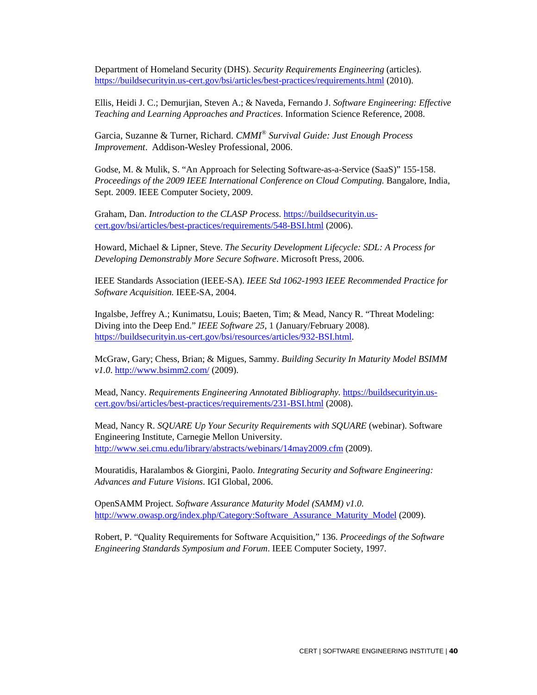Department of Homeland Security (DHS). *Security Requirements Engineering* (articles). <https://buildsecurityin.us-cert.gov/bsi/articles/best-practices/requirements.html> (2010).

Ellis, Heidi J. C.; Demurjian, Steven A.; & Naveda, Fernando J. *Software Engineering: Effective Teaching and Learning Approaches and Practices*. Information Science Reference, 2008.

Garcia, Suzanne & Turner, Richard. *CMMI® Survival Guide: Just Enough Process Improvement*. Addison-Wesley Professional, 2006.

Godse, M. & Mulik, S. "An Approach for Selecting Software-as-a-Service (SaaS)" 155-158. *Proceedings of the 2009 IEEE International Conference on Cloud Computing.* Bangalore, India, Sept. 2009. IEEE Computer Society, 2009.

Graham, Dan. *Introduction to the CLASP Process*. [https://buildsecurityin.us](https://buildsecurityin.us-cert.gov/bsi/articles/best-practices/requirements/548-BSI.html)[cert.gov/bsi/articles/best-practices/requirements/548-BSI.html](https://buildsecurityin.us-cert.gov/bsi/articles/best-practices/requirements/548-BSI.html) (2006).

Howard, Michael & Lipner, Steve. *The Security Development Lifecycle: SDL: A Process for Developing Demonstrably More Secure Software*. Microsoft Press, 2006.

IEEE Standards Association (IEEE-SA). *IEEE Std 1062-1993 IEEE Recommended Practice for Software Acquisition.* IEEE-SA, 2004.

Ingalsbe, Jeffrey A.; Kunimatsu, Louis; Baeten, Tim; & Mead, Nancy R. "Threat Modeling: Diving into the Deep End." *IEEE Software 25*, 1 (January/February 2008). [https://buildsecurityin.us-cert.gov/bsi/resources/articles/932-BSI.html.](https://buildsecurityin.us-cert.gov/bsi/resources/articles/932-BSI.html)

McGraw, Gary; Chess, Brian; & Migues, Sammy. *Building Security In Maturity Model BSIMM v1.0*.<http://www.bsimm2.com/> (2009).

Mead, Nancy. *Requirements Engineering Annotated Bibliography.* [https://buildsecurityin.us](https://buildsecurityin.us-cert.gov/bsi/articles/best-practices/requirements/231-BSI.html)[cert.gov/bsi/articles/best-practices/requirements/231-BSI.html](https://buildsecurityin.us-cert.gov/bsi/articles/best-practices/requirements/231-BSI.html) (2008).

Mead, Nancy R. *SQUARE Up Your Security Requirements with SQUARE* (webinar). Software Engineering Institute, Carnegie Mellon University. <http://www.sei.cmu.edu/library/abstracts/webinars/14may2009.cfm> (2009).

Mouratidis, Haralambos & Giorgini, Paolo. *Integrating Security and Software Engineering: Advances and Future Visions*. IGI Global, 2006.

OpenSAMM Project. *Software Assurance Maturity Model (SAMM) v1.0*. [http://www.owasp.org/index.php/Category:Software\\_Assurance\\_Maturity\\_Model](http://www.owasp.org/index.php/Category:Software_Assurance_Maturity_Model) (2009).

Robert, P. "Quality Requirements for Software Acquisition," 136. *Proceedings of the Software Engineering Standards Symposium and Forum*. IEEE Computer Society, 1997.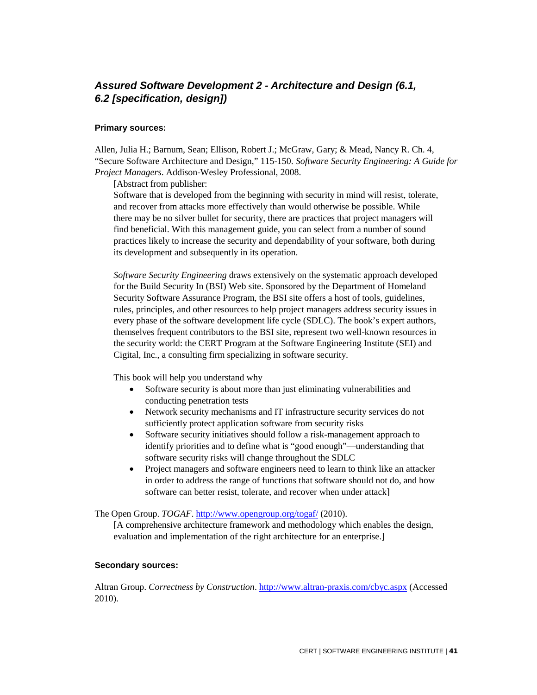## <span id="page-42-0"></span>*Assured Software Development 2 - Architecture and Design (6.1, 6.2 [specification, design])*

#### **Primary sources:**

Allen, Julia H.; Barnum, Sean; Ellison, Robert J.; McGraw, Gary; & Mead, Nancy R. Ch. 4, "Secure Software Architecture and Design," 115-150. *Software Security Engineering: A Guide for Project Managers*. Addison-Wesley Professional, 2008.

[Abstract from publisher:

Software that is developed from the beginning with security in mind will resist, tolerate, and recover from attacks more effectively than would otherwise be possible. While there may be no silver bullet for security, there are practices that project managers will find beneficial. With this management guide, you can select from a number of sound practices likely to increase the security and dependability of your software, both during its development and subsequently in its operation.

*Software Security Engineering* draws extensively on the systematic approach developed for the Build Security In (BSI) Web site. Sponsored by the Department of Homeland Security Software Assurance Program, the BSI site offers a host of tools, guidelines, rules, principles, and other resources to help project managers address security issues in every phase of the software development life cycle (SDLC). The book's expert authors, themselves frequent contributors to the BSI site, represent two well-known resources in the security world: the CERT Program at the Software Engineering Institute (SEI) and Cigital, Inc., a consulting firm specializing in software security.

This book will help you understand why

- Software security is about more than just eliminating vulnerabilities and conducting penetration tests
- Network security mechanisms and IT infrastructure security services do not sufficiently protect application software from security risks
- Software security initiatives should follow a risk-management approach to identify priorities and to define what is "good enough"—understanding that software security risks will change throughout the SDLC
- Project managers and software engineers need to learn to think like an attacker in order to address the range of functions that software should not do, and how software can better resist, tolerate, and recover when under attack]

The Open Group. *TOGAF*[. http://www.opengroup.org/togaf/](http://www.opengroup.org/togaf/) (2010).

[A comprehensive architecture framework and methodology which enables the design, evaluation and implementation of the right architecture for an enterprise.]

## **Secondary sources:**

Altran Group. *Correctness by Construction*. <http://www.altran-praxis.com/cbyc.aspx> (Accessed 2010).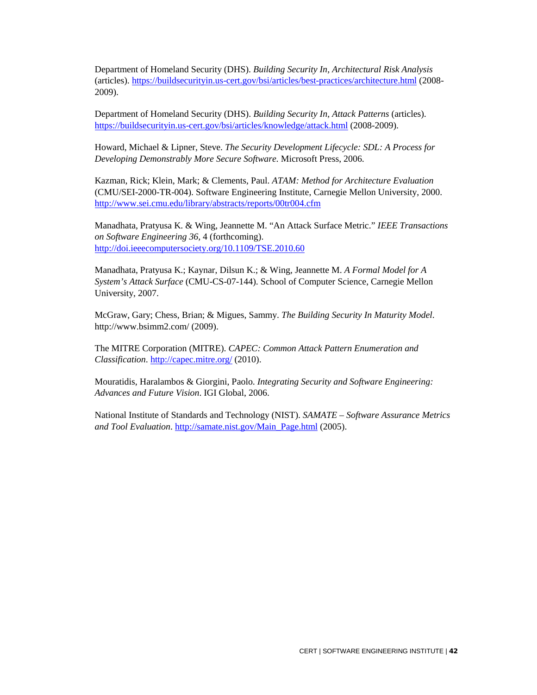Department of Homeland Security (DHS). *Building Security In, Architectural Risk Analysis* (articles).<https://buildsecurityin.us-cert.gov/bsi/articles/best-practices/architecture.html> (2008- 2009).

Department of Homeland Security (DHS). *Building Security In, Attack Patterns* (articles). <https://buildsecurityin.us-cert.gov/bsi/articles/knowledge/attack.html> (2008-2009).

Howard, Michael & Lipner, Steve. *The Security Development Lifecycle: SDL: A Process for Developing Demonstrably More Secure Software.* Microsoft Press, 2006.

Kazman, Rick; Klein, Mark; & Clements, Paul. *ATAM: Method for Architecture Evaluation* (CMU/SEI-2000-TR-004). Software Engineering Institute, Carnegie Mellon University, 2000. <http://www.sei.cmu.edu/library/abstracts/reports/00tr004.cfm>

Manadhata, Pratyusa K. & Wing, Jeannette M. "An Attack Surface Metric." *IEEE Transactions on Software Engineering 36,* 4 (forthcoming). <http://doi.ieeecomputersociety.org/10.1109/TSE.2010.60>

Manadhata, Pratyusa K.; Kaynar, Dilsun K.; & Wing, Jeannette M. *A Formal Model for A System's Attack Surface* (CMU-CS-07-144). School of Computer Science, Carnegie Mellon University, 2007.

McGraw, Gary; Chess, Brian; & Migues, Sammy. *The Building Security In Maturity Model*. http://www.bsimm2.com/ (2009).

The MITRE Corporation (MITRE). *CAPEC: Common Attack Pattern Enumeration and Classification*.<http://capec.mitre.org/> (2010).

Mouratidis, Haralambos & Giorgini, Paolo. *Integrating Security and Software Engineering: Advances and Future Vision*. IGI Global, 2006.

National Institute of Standards and Technology (NIST). *SAMATE – Software Assurance Metrics and Tool Evaluation*. [http://samate.nist.gov/Main\\_Page.html](http://samate.nist.gov/Main_Page.html) (2005).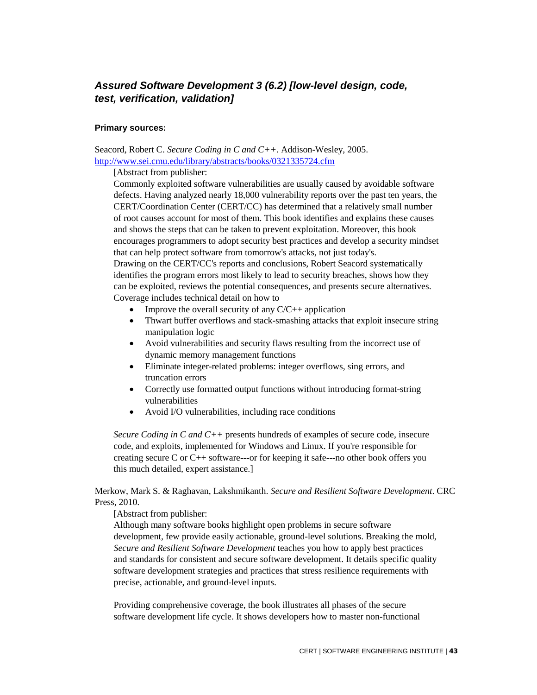## <span id="page-44-0"></span>*Assured Software Development 3 (6.2) [low-level design, code, test, verification, validation]*

## **Primary sources:**

Seacord, Robert C. *Secure Coding in C and C++.* Addison-Wesley, 2005. <http://www.sei.cmu.edu/library/abstracts/books/0321335724.cfm>

[Abstract from publisher:

Commonly exploited software vulnerabilities are usually caused by avoidable software defects. Having analyzed nearly 18,000 vulnerability reports over the past ten years, the CERT/Coordination Center (CERT/CC) has determined that a relatively small number of root causes account for most of them. This book identifies and explains these causes and shows the steps that can be taken to prevent exploitation. Moreover, this book encourages programmers to adopt security best practices and develop a security mindset that can help protect software from tomorrow's attacks, not just today's.

Drawing on the CERT/CC's reports and conclusions, Robert Seacord systematically identifies the program errors most likely to lead to security breaches, shows how they can be exploited, reviews the potential consequences, and presents secure alternatives. Coverage includes technical detail on how to

- Improve the overall security of any  $C/C++$  application
- Thwart buffer overflows and stack-smashing attacks that exploit insecure string manipulation logic
- Avoid vulnerabilities and security flaws resulting from the incorrect use of dynamic memory management functions
- Eliminate integer-related problems: integer overflows, sing errors, and truncation errors
- Correctly use formatted output functions without introducing format-string vulnerabilities
- Avoid I/O vulnerabilities, including race conditions

*Secure Coding in C and C++* presents hundreds of examples of secure code, insecure code, and exploits, implemented for Windows and Linux. If you're responsible for creating secure C or C++ software---or for keeping it safe---no other book offers you this much detailed, expert assistance.]

Merkow, Mark S. & Raghavan, Lakshmikanth. *Secure and Resilient Software Development*. CRC Press, 2010.

[Abstract from publisher:

Although many software books highlight open problems in secure software development, few provide easily actionable, ground-level solutions. Breaking the mold, *Secure and Resilient Software Development* teaches you how to apply best practices and standards for consistent and secure software development. It details specific quality software development strategies and practices that stress resilience requirements with precise, actionable, and ground-level inputs.

Providing comprehensive coverage, the book illustrates all phases of the secure software development life cycle. It shows developers how to master non-functional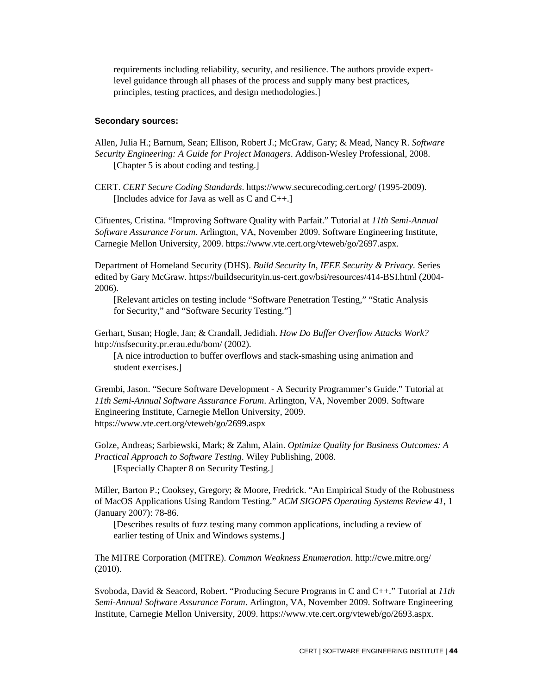requirements including reliability, security, and resilience. The authors provide expertlevel guidance through all phases of the process and supply many best practices, principles, testing practices, and design methodologies.]

## **Secondary sources:**

- Allen, Julia H.; Barnum, Sean; Ellison, Robert J.; McGraw, Gary; & Mead, Nancy R. *Software Security Engineering: A Guide for Project Managers*. Addison-Wesley Professional, 2008. [Chapter 5 is about coding and testing.]
- CERT. *CERT Secure Coding Standards*. https://www.securecoding.cert.org/ (1995-2009). [Includes advice for Java as well as C and  $C_{++.}$ ]

Cifuentes, Cristina. "Improving Software Quality with Parfait." Tutorial at *11th Semi-Annual Software Assurance Forum*. Arlington, VA, November 2009. Software Engineering Institute, Carnegie Mellon University, 2009. https://www.vte.cert.org/vteweb/go/2697.aspx.

Department of Homeland Security (DHS). *Build Security In, IEEE Security & Privacy.* Series edited by Gary McGraw. https://buildsecurityin.us-cert.gov/bsi/resources/414-BSI.html (2004- 2006).

[Relevant articles on testing include "Software Penetration Testing," "Static Analysis for Security," and "Software Security Testing."]

Gerhart, Susan; Hogle, Jan; & Crandall, Jedidiah. *How Do Buffer Overflow Attacks Work?* http://nsfsecurity.pr.erau.edu/bom/ (2002).

[A nice introduction to buffer overflows and stack-smashing using animation and student exercises.]

Grembi, Jason. "Secure Software Development - A Security Programmer's Guide." Tutorial at *11th Semi-Annual Software Assurance Forum*. Arlington, VA, November 2009. Software Engineering Institute, Carnegie Mellon University, 2009. https://www.vte.cert.org/vteweb/go/2699.aspx

Golze, Andreas; Sarbiewski, Mark; & Zahm, Alain. *Optimize Quality for Business Outcomes: A Practical Approach to Software Testing*. Wiley Publishing, 2008. [Especially Chapter 8 on Security Testing.]

Miller, Barton P.; Cooksey, Gregory; & Moore, Fredrick. "An Empirical Study of the Robustness of MacOS Applications Using Random Testing." *ACM SIGOPS Operating Systems Review 41*, 1 (January 2007): 78-86.

[Describes results of fuzz testing many common applications, including a review of earlier testing of Unix and Windows systems.]

The MITRE Corporation (MITRE). *Common Weakness Enumeration*. http://cwe.mitre.org/ (2010).

Svoboda, David & Seacord, Robert. "Producing Secure Programs in C and C++." Tutorial at *11th Semi-Annual Software Assurance Forum*. Arlington, VA, November 2009. Software Engineering Institute, Carnegie Mellon University, 2009. https://www.vte.cert.org/vteweb/go/2693.aspx.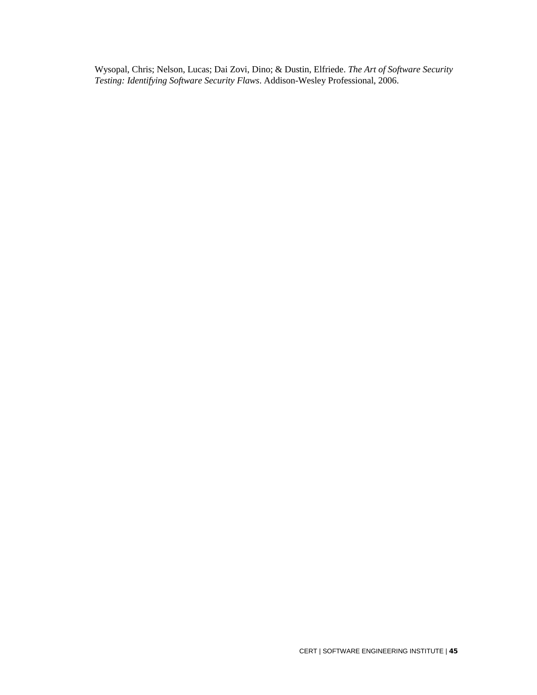Wysopal, Chris; Nelson, Lucas; Dai Zovi, Dino; & Dustin, Elfriede. *The Art of Software Security Testing: Identifying Software Security Flaws*. Addison-Wesley Professional, 2006.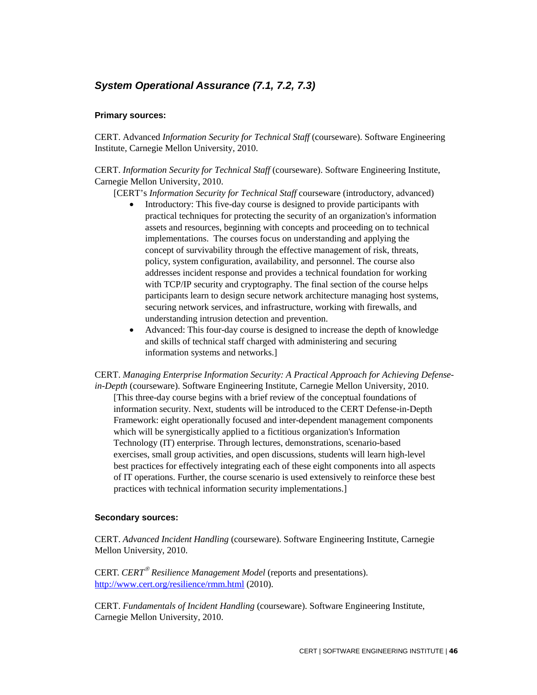## <span id="page-47-0"></span>*System Operational Assurance (7.1, 7.2, 7.3)*

## **Primary sources:**

CERT. Advanced *Information Security for Technical Staff* (courseware). Software Engineering Institute, Carnegie Mellon University, 2010.

CERT. *Information Security for Technical Staff* (courseware). Software Engineering Institute, Carnegie Mellon University, 2010.

[CERT's *Information Security for Technical Staff* courseware (introductory, advanced)

- Introductory: This five-day course is designed to provide participants with practical techniques for protecting the security of an organization's information assets and resources, beginning with concepts and proceeding on to technical implementations. The courses focus on understanding and applying the concept of survivability through the effective management of risk, threats, policy, system configuration, availability, and personnel. The course also addresses incident response and provides a technical foundation for working with TCP/IP security and cryptography. The final section of the course helps participants learn to design secure network architecture managing host systems, securing network services, and infrastructure, working with firewalls, and understanding intrusion detection and prevention.
- Advanced: This four-day course is designed to increase the depth of knowledge and skills of technical staff charged with administering and securing information systems and networks.]

CERT. *Managing Enterprise Information Security: A Practical Approach for Achieving Defensein-Depth* (courseware). Software Engineering Institute, Carnegie Mellon University, 2010.

[This three-day course begins with a brief review of the conceptual foundations of information security. Next, students will be introduced to the CERT Defense-in-Depth Framework: eight operationally focused and inter-dependent management components which will be synergistically applied to a fictitious organization's Information Technology (IT) enterprise. Through lectures, demonstrations, scenario-based exercises, small group activities, and open discussions, students will learn high-level best practices for effectively integrating each of these eight components into all aspects of IT operations. Further, the course scenario is used extensively to reinforce these best practices with technical information security implementations.]

## **Secondary sources:**

CERT. *Advanced Incident Handling* (courseware). Software Engineering Institute, Carnegie Mellon University, 2010.

CERT. *CERT<sup>®</sup> Resilience Management Model* (reports and presentations). <http://www.cert.org/resilience/rmm.html> (2010).

CERT. *Fundamentals of Incident Handling* (courseware). Software Engineering Institute, Carnegie Mellon University, 2010.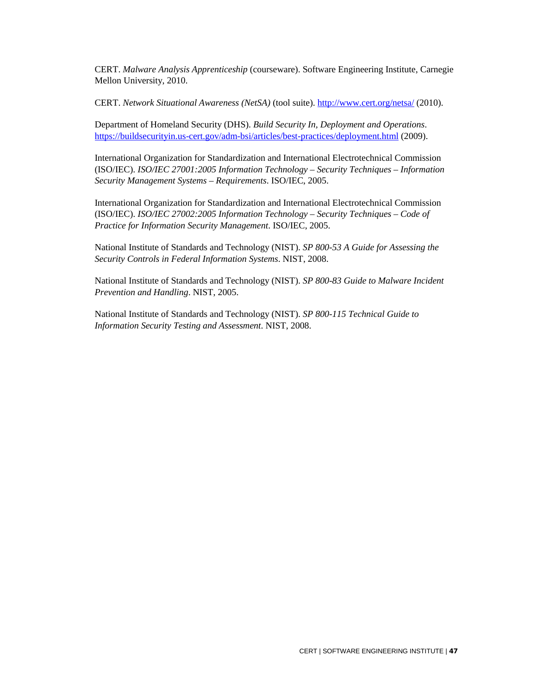CERT. *Malware Analysis Apprenticeship* (courseware). Software Engineering Institute, Carnegie Mellon University, 2010.

CERT. *Network Situational Awareness (NetSA)* (tool suite).<http://www.cert.org/netsa/> (2010).

Department of Homeland Security (DHS). *Build Security In, Deployment and Operations*. <https://buildsecurityin.us-cert.gov/adm-bsi/articles/best-practices/deployment.html> (2009).

International Organization for Standardization and International Electrotechnical Commission (ISO/IEC). *ISO/IEC 27001:2005 Information Technology – Security Techniques – Information Security Management Systems – Requirements*. ISO/IEC, 2005.

International Organization for Standardization and International Electrotechnical Commission (ISO/IEC). *ISO/IEC 27002:2005 Information Technology – Security Techniques – Code of Practice for Information Security Management*. ISO/IEC, 2005.

National Institute of Standards and Technology (NIST). *SP 800-53 A Guide for Assessing the Security Controls in Federal Information Systems*. NIST, 2008.

National Institute of Standards and Technology (NIST). *SP 800-83 Guide to Malware Incident Prevention and Handling*. NIST, 2005.

National Institute of Standards and Technology (NIST). *SP 800-115 Technical Guide to Information Security Testing and Assessment*. NIST, 2008.